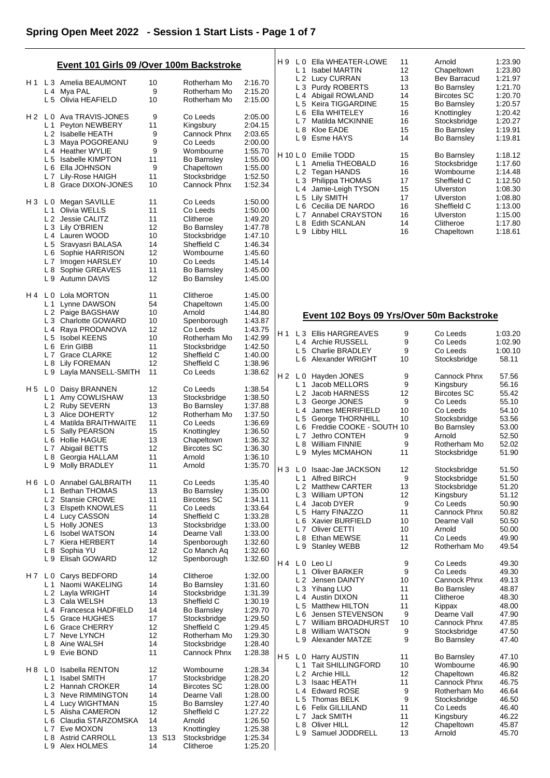|     |                | Event 101 Girls 09 / Over 100m Backstroke |          |                              |                    | H 9            | L <sub>1</sub> | LO Ella WHEATER-LOWE<br>Isabel MARTIN     | 11<br>12 | Arnold<br>Chapeltown | 1:23.90<br>1:23.80 |
|-----|----------------|-------------------------------------------|----------|------------------------------|--------------------|----------------|----------------|-------------------------------------------|----------|----------------------|--------------------|
|     |                | L 3 Amelia BEAUMONT                       |          |                              |                    |                |                | L 2 Lucy CURRAN                           | 13       | Bev Barracud         | 1:21.97            |
| H 1 |                | L 4 Mya PAL                               | 10<br>9  | Rotherham Mo<br>Rotherham Mo | 2:16.70<br>2:15.20 |                |                | L 3 Purdy ROBERTS                         | 13       | Bo Barnsley          | 1:21.70            |
|     |                | L 5 Olivia HEAFIELD                       | 10       | Rotherham Mo                 | 2:15.00            |                |                | L 4 Abigail ROWLAND                       | 14       | <b>Bircotes SC</b>   | 1:20.70            |
|     |                |                                           |          |                              |                    |                |                | L 5 Keira TIGGARDINE                      | 15       | <b>Bo Barnsley</b>   | 1:20.57            |
|     |                | H 2 L 0 Ava TRAVIS-JONES                  | 9        | Co Leeds                     | 2:05.00            |                | L 6            | Ella WHITELEY                             | 16       | Knottingley          | 1:20.42            |
|     | L 1            | Peyton NEWBERY                            | 11       | Kingsbury                    | 2:04.15            |                |                | L 7 Matilda MCKINNIE                      | 16       | Stocksbridge         | 1:20.27            |
|     |                | L 2 Isabelle HEATH                        | 9        | Cannock Phnx                 | 2:03.65            |                | L <sub>8</sub> | Kloe EADE                                 | 15       | <b>Bo Barnsley</b>   | 1:19.91            |
|     |                | L 3 Maya POGOREANU                        | 9        | Co Leeds                     | 2:00.00            |                |                | L 9 Esme HAYS                             | 14       | <b>Bo Barnsley</b>   | 1:19.81            |
|     |                | L 4 Heather WYLIE                         | 9        | Wombourne                    | 1:55.70            |                |                | H 10 L 0 Emilie TODD                      | 15       | <b>Bo Barnsley</b>   | 1:18.12            |
|     |                | L 5 Isabelle KIMPTON                      | 11       | <b>Bo Barnsley</b>           | 1:55.00            |                |                | L 1 Amelia THEOBALD                       | 16       | Stocksbridge         | 1:17.60            |
|     |                | L 6 Ella JOHNSON                          | 9        | Chapeltown                   | 1:55.00            |                |                | L 2 Tegan HANDS                           | 16       | Wombourne            | 1:14.48            |
|     |                | L 7 Lily-Rose HAIGH                       | 11       | Stocksbridge                 | 1:52.50            |                |                | L 3 Philippa THOMAS                       | 17       | Sheffield C          | 1:12.50            |
|     |                | L 8 Grace DIXON-JONES                     | 10       | Cannock Phnx                 | 1:52.34            |                | L 4            | Jamie-Leigh TYSON                         | 15       | Ulverston            | 1:08.30            |
|     |                |                                           |          |                              |                    |                |                | L 5 Lily SMITH                            | 17       | <b>Ulverston</b>     | 1:08.80            |
| H 3 | L 0            | Megan SAVILLE                             | 11       | Co Leeds                     | 1:50.00            |                |                | L 6 Cecilia DE NARDO                      | 16       | Sheffield C          | 1:13.00            |
|     | L <sub>1</sub> | Olivia WELLS                              | 11       | Co Leeds                     | 1:50.00            |                |                | L 7 Annabel CRAYSTON                      | 16       | Ulverston            | 1:15.00            |
|     |                | L 2 Jessie CALITZ                         | 11       | Clitheroe                    | 1:49.20            |                |                | L 8 Edith SCANLAN                         | 14       | Clitheroe            | 1:17.80            |
|     |                | L 3 Lily O'BRIEN                          | 12       | <b>Bo Barnsley</b>           | 1:47.78            |                |                | L 9 Libby HILL                            | 16       | Chapeltown           | 1:18.61            |
|     |                | L 4 Lauren WOOD                           | 10       | Stocksbridge                 | 1:47.10            |                |                |                                           |          |                      |                    |
|     |                | L 5 Sravyasri BALASA                      | 14       | Sheffield C                  | 1:46.34            |                |                |                                           |          |                      |                    |
|     |                | L 6 Sophie HARRISON                       | 12       | Wombourne                    | 1:45.60            |                |                |                                           |          |                      |                    |
|     | L <sub>7</sub> | Imogen HARSLEY                            | 10       | Co Leeds                     | 1:45.14            |                |                |                                           |          |                      |                    |
|     |                | L 8 Sophie GREAVES                        | 11       | <b>Bo Barnsley</b>           | 1:45.00            |                |                |                                           |          |                      |                    |
|     |                | L 9 Autumn DAVIS                          | 12       | <b>Bo Barnsley</b>           | 1:45.00            |                |                |                                           |          |                      |                    |
| H 4 | L 0            | Lola MORTON                               | 11       | Clitheroe                    | 1:45.00            |                |                |                                           |          |                      |                    |
|     | L 1            | Lynne DAWSON                              | 54       | Chapeltown                   | 1:45.00            |                |                |                                           |          |                      |                    |
|     |                | L 2 Paige BAGSHAW                         | 10       | Arnold                       | 1:44.80            |                |                | Event 102 Boys 09 Yrs/Over 50m Backstroke |          |                      |                    |
|     |                | L 3 Charlotte GOWARD                      | 10       | Spenborough                  | 1:43.87            |                |                |                                           |          |                      |                    |
|     |                | L 4 Raya PRODANOVA                        | 12       | Co Leeds                     | 1:43.75            | H 1            |                | L 3 Ellis HARGREAVES                      | 9        | Co Leeds             | 1:03.20            |
|     |                | L 5 Isobel KEENS                          | 10       | Rotherham Mo                 | 1:42.99            |                |                | L 4 Archie RUSSELL                        | 9        | Co Leeds             | 1:02.90            |
|     |                | L 6 Erin GIBB                             | 11       | Stocksbridge                 | 1:42.50            |                | L <sub>5</sub> | <b>Charlie BRADLEY</b>                    | 9        | Co Leeds             | 1:00.10            |
|     |                | L 7 Grace CLARKE                          | 12       | Sheffield C                  | 1:40.00            |                |                | L 6 Alexander WRIGHT                      | 10       | Stocksbridge         | 58.11              |
|     |                | L 8 Lily FOREMAN                          | 12       | Sheffield C                  | 1:38.96            |                |                |                                           |          |                      |                    |
|     | L 9            | Layla MANSELL-SMITH                       | 11       | Co Leeds                     | 1:38.62            | Η2             |                | L 0 Hayden JONES                          | 9        | Cannock Phnx         | 57.56              |
|     |                |                                           |          |                              |                    |                | L 1            | Jacob MELLORS                             | 9        | Kingsbury            | 56.16              |
| H 5 | L 0            | Daisy BRANNEN                             | 12       | Co Leeds                     | 1:38.54            |                |                | L 2 Jacob HARNESS                         | 12       | <b>Bircotes SC</b>   | 55.42              |
|     |                | L 1 Amy COWLISHAW                         | 13       | Stocksbridge                 | 1:38.50            |                |                | L 3 George JONES                          | 9        | Co Leeds             | 55.10              |
|     |                | L 2 Ruby SEVERN                           | 13       | <b>Bo Barnsley</b>           | 1:37.88            |                |                | L 4 James MERRIFIELD                      | 10       | Co Leeds             | 54.10              |
|     |                | L 3 Alice DOHERTY                         | 12       | Rotherham Mo                 | 1:37.50            |                |                | L 5 George THORNHILL                      | 10       | Stocksbridge         | 53.56              |
|     |                | L 4 Matilda BRAITHWAITE                   | 11       | Co Leeds                     | 1:36.69            |                |                | L 6 Freddie COOKE - SOUTH 10              |          | <b>Bo Barnsley</b>   | 53.00              |
|     |                | L 5 Sally PEARSON                         | 15       | Knottingley                  | 1:36.50            |                |                | L 7 Jethro CONTEH                         | 9        | Arnold               | 52.50              |
|     |                | L 6 Hollie HAGUE                          | 13       | Chapeltown                   | 1:36.32            |                | L 8            | William FINNIE                            | 9        | Rotherham Mo         | 52.02              |
|     | L <sub>7</sub> | Abigail BETTS                             | 12       | <b>Bircotes SC</b>           | 1:36.30            |                |                | L 9 Myles MCMAHON                         | 11       | Stocksbridge         | 51.90              |
|     |                | L 8 Georgia HALLAM                        | 11       | Arnold                       | 1:36.10            |                |                |                                           |          |                      |                    |
|     |                | L 9 Molly BRADLEY                         | 11       | Arnold                       | 1:35.70            | Н3             | L <sub>0</sub> | Isaac-Jae JACKSON                         | 12       | Stocksbridge         | 51.50              |
|     |                |                                           |          |                              |                    |                |                | L 1 Alfred BIRCH                          | 9        | Stocksbridge         | 51.50              |
|     |                | H 6 L 0 Annabel GALBRAITH                 | 11       | Co Leeds                     | 1:35.40            |                |                | L 2 Matthew CARTER                        | 13       | Stocksbridge         | 51.20              |
|     | $L_1$          | <b>Bethan THOMAS</b>                      | 13       | Bo Barnsley                  | 1:35.00            |                | L 3            | <b>William UPTON</b>                      | 12       | Kingsbury            | 51.12              |
|     |                | L 2 Stansie CROWE                         | 11       | <b>Bircotes SC</b>           | 1:34.11            |                |                | L 4 Jacob DYER                            | 9        | Co Leeds             | 50.90              |
|     |                | L 3 Elspeth KNOWLES                       | 11       | Co Leeds                     | 1:33.64            |                |                | L 5 Harry FINAZZO                         | 11       | Cannock Phnx         | 50.82              |
|     |                | L 4 Lucy CASSON                           | 14       | Sheffield C                  | 1:33.28            |                |                | L 6 Xavier BURFIELD                       | 10       | Dearne Vall          | 50.50              |
|     |                | L 5 Holly JONES                           | 13       | Stocksbridge                 | 1:33.00            |                | L <sub>7</sub> | Oliver CETTI                              | 10       | Arnold               | 50.00              |
|     |                | L 6 Isobel WATSON                         | 14       | Dearne Vall                  | 1:33.00            |                | L 8            | Ethan MEWSE                               | 11       | Co Leeds             | 49.90              |
|     |                | L7 Kiera HERBERT<br>L 8 Sophia YU         | 14<br>12 | Spenborough<br>Co Manch Aq   | 1:32.60<br>1:32.60 |                | L 9            | <b>Stanley WEBB</b>                       | 12       | Rotherham Mo         | 49.54              |
|     |                | L 9 Elisah GOWARD                         | 12       | Spenborough                  | 1:32.60            |                |                |                                           |          |                      |                    |
|     |                |                                           |          |                              |                    |                |                | H4 L0 Leo LI                              | 9        | Co Leeds             | 49.30              |
|     | H7 L0          | Carys BEDFORD                             | 14       | Clitheroe                    | 1:32.00            |                | L <sub>1</sub> | <b>Oliver BARKER</b>                      | 9        | Co Leeds             | 49.30              |
|     | L <sub>1</sub> | Naomi WAKELING                            | 14       | <b>Bo Barnsley</b>           | 1:31.60            |                |                | L 2 Jensen DAINTY                         | 10       | Cannock Phnx         | 49.13              |
|     |                | L 2 Layla WRIGHT                          | 14       | Stocksbridge                 | 1:31.39            |                |                | L 3 Yihang LUO                            | 11       | <b>Bo Barnsley</b>   | 48.87              |
|     |                | L 3 Cala WELSH                            | 13       | Sheffield C                  | 1:30.19            |                |                | L 4 Austin DIXON                          | 11       | Clitheroe            | 48.30              |
|     |                | L 4 Francesca HADFIELD                    | 14       | <b>Bo Barnsley</b>           | 1:29.70            |                |                | L 5 Matthew HILTON                        | 11       | Kippax               | 48.00              |
|     |                | L 5 Grace HUGHES                          | 17       | Stocksbridge                 | 1:29.50            |                |                | L 6 Jensen STEVENSON                      | 9        | Dearne Vall          | 47.90              |
|     |                | L 6 Grace CHERRY                          | 12       | Sheffield C                  | 1:29.45            |                | L 7            | William BROADHURST                        | 10       | Cannock Phnx         | 47.85              |
|     |                | L 7 Neve LYNCH                            | 12       | Rotherham Mo                 | 1:29.30            |                |                | L 8 William WATSON                        | 9        | Stocksbridge         | 47.50              |
|     |                | L 8 Aine WALSH                            | 14       | Stocksbridge                 | 1:28.40            |                |                | L 9 Alexander MATZE                       | 9        | <b>Bo Barnsley</b>   | 47.40              |
|     |                | L 9 Evie BOND                             | 11       | Cannock Phnx                 | 1:28.38            |                |                |                                           |          |                      |                    |
|     |                |                                           |          |                              |                    | H <sub>5</sub> |                | L 0 Harry AUSTIN                          | 11       | <b>Bo Barnsley</b>   | 47.10              |
| H 8 | L 0            | <b>Isabella RENTON</b>                    | 12       | Wombourne                    | 1:28.34            |                |                | L 1 Tait SHILLINGFORD                     | 10       | Wombourne            | 46.90              |
|     | L 1            | <b>Isabel SMITH</b>                       | 17       | Stocksbridge                 | 1:28.20            |                |                | L 2 Archie HILL                           | 12       | Chapeltown           | 46.82              |
|     |                | L 2 Hannah CROKER                         | 14       | <b>Bircotes SC</b>           | 1:28.00            |                | L 3            | Isaac HEATH                               | 11       | Cannock Phnx         | 46.75              |
|     |                | L 3 Neve RIMMINGTON                       | 14       | Dearne Vall                  | 1:28.00            |                |                | L 4 Edward ROSE                           | 9        | Rotherham Mo         | 46.64              |
|     |                | L 4 Lucy WIGHTMAN                         | 15       | <b>Bo Barnsley</b>           | 1:27.40            |                | L 5            | Thomas BELK                               | 9        | Stocksbridge         | 46.50              |
|     |                | L 5 Alisha CAMERON                        | 12       | Sheffield C                  | 1:27.22            |                |                | L 6 Felix GILLILAND                       | 11       | Co Leeds             | 46.40              |
|     |                | L 6 Claudia STARZOMSKA                    | 14       | Arnold                       | 1:26.50            |                | L <sub>7</sub> | <b>Jack SMITH</b>                         | 11       | Kingsbury            | 46.22              |
|     |                | L7 Eve MOXON                              | 13       | Knottingley                  | 1:25.38            |                |                | L 8 Oliver HILL                           | 12       | Chapeltown           | 45.87              |
|     | L 8            | <b>Astrid CARROLL</b>                     | 13 S13   | Stocksbridge                 | 1:25.34            |                | L 9            | Samuel JODDRELL                           | 13       | Arnold               | 45.70              |
|     |                | L 9 Alex HOLMES                           | 14       | Clitheroe                    | 1:25.20            |                |                |                                           |          |                      |                    |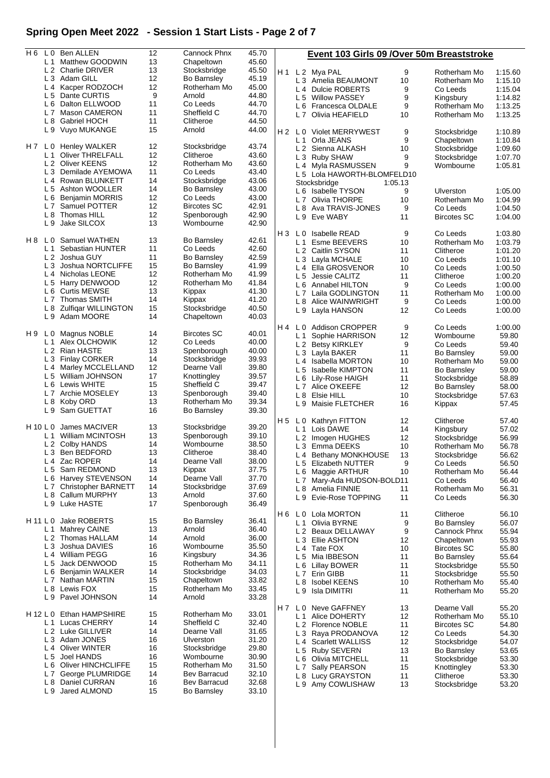# **Spring Open Meet 2022 - Session 1 Start Lists - Page 2 of 7**

| H 6      |                | L 0 Ben ALLEN                 | 12 | Cannock Phnx       | 45.70 |     |                | Event 103 Girls 09 / Over 50m Breaststroke |         |                    |         |
|----------|----------------|-------------------------------|----|--------------------|-------|-----|----------------|--------------------------------------------|---------|--------------------|---------|
|          |                | L 1 Matthew GOODWIN           | 13 | Chapeltown         | 45.60 |     |                |                                            |         |                    |         |
|          |                | L <sub>2</sub> Charlie DRIVER | 13 | Stocksbridge       | 45.50 | H 1 |                | L 2 Mya PAL                                | 9       | Rotherham Mo       | 1:15.60 |
|          |                | L 3 Adam GILL                 | 12 | <b>Bo Barnsley</b> | 45.19 |     |                | L 3 Amelia BEAUMONT                        | 10      | Rotherham Mo       | 1:15.10 |
|          |                | L 4 Kacper RODZOCH            | 12 | Rotherham Mo       | 45.00 |     |                | L 4 Dulcie ROBERTS                         | 9       | Co Leeds           | 1:15.04 |
|          |                | L 5 Dante CURTIS              | 9  | Arnold             | 44.80 |     | L 5            | <b>Willow PASSEY</b>                       | 9       |                    | 1:14.82 |
|          |                | L 6 Dalton ELLWOOD            | 11 | Co Leeds           | 44.70 |     |                |                                            |         | Kingsbury          |         |
|          |                | L 7 Mason CAMERON             | 11 | Sheffield C        | 44.70 |     |                | L 6 Francesca OLDALE                       | 9       | Rotherham Mo       | 1:13.25 |
|          |                |                               |    |                    |       |     |                | L 7 Olivia HEAFIELD                        | 10      | Rotherham Mo       | 1:13.25 |
|          | L 8            | Gabriel HOCH                  | 11 | Clitheroe          | 44.50 |     |                |                                            |         |                    |         |
|          |                | L 9 Vuyo MUKANGE              | 15 | Arnold             | 44.00 |     |                | H 2 L 0 Violet MERRYWEST                   | 9       | Stocksbridge       | 1:10.89 |
|          |                |                               |    |                    |       |     | L 1            | Orla JEANS                                 | 9       | Chapeltown         | 1:10.84 |
| H 7      | L 0            | <b>Henley WALKER</b>          | 12 | Stocksbridge       | 43.74 |     |                | L 2 Sienna ALKASH                          | 10      | Stocksbridge       | 1:09.60 |
|          |                | L 1 Oliver THRELFALL          | 12 | Clitheroe          | 43.60 |     |                | L 3 Ruby SHAW                              | 9       | Stocksbridge       | 1:07.70 |
|          |                | L 2 Oliver KEENS              | 12 | Rotherham Mo       | 43.60 |     |                | L 4 Myla RASMUSSEN                         | 9       | Wombourne          | 1:05.81 |
|          |                | L 3 Demilade AYEMOWA          | 11 | Co Leeds           | 43.40 |     |                | L 5 Lola HAWORTH-BLOMFELD10                |         |                    |         |
|          | $L_4$          | Rowan BLUNKETT                | 14 | Stocksbridge       | 43.06 |     |                | Stocksbridge                               | 1:05.13 |                    |         |
|          |                | L 5 Ashton WOOLLER            | 14 | Bo Barnsley        | 43.00 |     |                |                                            | 9       | Ulverston          | 1:05.00 |
|          | L 6            | <b>Benjamin MORRIS</b>        | 12 | Co Leeds           | 43.00 |     |                | L 6 Isabelle TYSON                         | 10      |                    |         |
|          |                | L7 Samuel POTTER              | 12 | <b>Bircotes SC</b> | 42.91 |     |                | L 7 Olivia THORPE                          |         | Rotherham Mo       | 1:04.99 |
|          |                | L 8 Thomas HILL               | 12 |                    | 42.90 |     | L 8            | Ava TRAVIS-JONES                           | 9       | Co Leeds           | 1:04.50 |
|          |                |                               |    | Spenborough        |       |     |                | L 9 Eve WABY                               | 11      | <b>Bircotes SC</b> | 1:04.00 |
|          | L 9            | Jake SILCOX                   | 13 | Wombourne          | 42.90 |     |                |                                            |         |                    |         |
|          |                |                               |    |                    |       | H 3 | L 0            | <b>Isabelle READ</b>                       | 9       | Co Leeds           | 1:03.80 |
|          |                | H 8 L 0 Samuel WATHEN         | 13 | Bo Barnsley        | 42.61 |     | L 1            | Esme BEEVERS                               | 10      | Rotherham Mo       | 1:03.79 |
|          | L <sub>1</sub> | Sebastian HUNTER              | 11 | Co Leeds           | 42.60 |     |                | L 2 Caitlin SYSON                          | 11      | Clitheroe          | 1:01.20 |
|          |                | L 2 Joshua GUY                | 11 | <b>Bo Barnsley</b> | 42.59 |     |                | L 3 Layla MCHALE                           | 10      | Co Leeds           | 1:01.10 |
|          |                | L 3 Joshua NORTCLIFFE         | 15 | <b>Bo Barnsley</b> | 41.99 |     |                | L 4 Ella GROSVENOR                         | 10      | Co Leeds           | 1:00.50 |
|          |                | L 4 Nicholas LEONE            | 12 | Rotherham Mo       | 41.99 |     |                |                                            | 11      |                    |         |
|          |                | L 5 Harry DENWOOD             | 12 | Rotherham Mo       | 41.84 |     |                | L 5 Jessie CALITZ                          |         | Clitheroe          | 1:00.20 |
|          |                | <b>Curtis MEWSE</b>           | 13 | Kippax             | 41.30 |     |                | L 6 Annabel HILTON                         | 9       | Co Leeds           | 1:00.00 |
|          | L 6            |                               |    |                    |       |     |                | L 7 Laila GODLINGTON                       | 11      | Rotherham Mo       | 1:00.00 |
|          |                | L 7 Thomas SMITH              | 14 | Kippax             | 41.20 |     |                | L 8 Alice WAINWRIGHT                       | 9       | Co Leeds           | 1:00.00 |
|          | L <sub>8</sub> | <b>Zulfigar WILLINGTON</b>    | 15 | Stocksbridge       | 40.50 |     |                | L 9 Layla HANSON                           | 12      | Co Leeds           | 1:00.00 |
|          |                | L 9 Adam MOORE                | 14 | Chapeltown         | 40.03 |     |                |                                            |         |                    |         |
|          |                |                               |    |                    |       | H 4 |                | L 0 Addison CROPPER                        | 9       | Co Leeds           | 1:00.00 |
| H 9      |                | L 0 Magnus NOBLE              | 14 | <b>Bircotes SC</b> | 40.01 |     | L 1            | Sophie HARRISON                            | 12      | Wombourne          | 59.80   |
|          | L <sub>1</sub> | Alex OLCHOWIK                 | 12 | Co Leeds           | 40.00 |     |                | L 2 Betsy KIRKLEY                          | 9       | Co Leeds           | 59.40   |
|          |                | L 2 Rian HASTE                | 13 | Spenborough        | 40.00 |     |                | L 3 Layla BAKER                            | 11      | <b>Bo Barnsley</b> | 59.00   |
|          |                | L 3 Finlay CORKER             | 14 | Stocksbridge       | 39.93 |     |                |                                            |         |                    |         |
|          |                | L 4 Marley MCCLELLAND         | 12 | Dearne Vall        | 39.80 |     |                | L 4 Isabella MORTON                        | 10      | Rotherham Mo       | 59.00   |
|          | L <sub>5</sub> | William JOHNSON               | 17 |                    | 39.57 |     | L 5            | Isabelle KIMPTON                           | 11      | Bo Barnsley        | 59.00   |
|          |                |                               |    | Knottingley        |       |     |                | L 6 Lily-Rose HAIGH                        | 11      | Stocksbridge       | 58.89   |
|          | L <sub>6</sub> | Lewis WHITE                   | 15 | Sheffield C        | 39.47 |     |                | L 7 Alice O'KEEFE                          | 12      | Bo Barnsley        | 58.00   |
|          | L <sub>7</sub> | Archie MOSELEY                | 13 | Spenborough        | 39.40 |     |                | L 8 Elsie HILL                             | 10      | Stocksbridge       | 57.63   |
|          | L 8            | Koby ORD                      | 13 | Rotherham Mo       | 39.34 |     |                | L 9 Maisie FLETCHER                        | 16      | Kippax             | 57.45   |
|          | L <sub>9</sub> | Sam GUETTAT                   | 16 | <b>Bo Barnsley</b> | 39.30 |     |                |                                            |         |                    |         |
|          |                |                               |    |                    |       | H 5 | L 0            | Kathryn FITTON                             | 12      | Clitheroe          | 57.40   |
|          | $H$ 10 L 0     | James MACIVER                 | 13 | Stocksbridge       | 39.20 |     | L 1            | Lois DAWE                                  | 14      | Kingsbury          | 57.02   |
|          | L <sub>1</sub> | William MCINTOSH              | 13 | Spenborough        | 39.10 |     | L 2            | Imogen HUGHES                              | 12      | Stocksbridge       | 56.99   |
|          |                | L 2 Colby HANDS               | 14 | Wombourne          | 38.50 |     |                |                                            | 10      |                    | 56.78   |
|          |                | L 3 Ben BEDFORD               | 13 | Clitheroe          | 38.40 |     | LЗ             | Emma DEEKS                                 |         | Rotherham Mo       |         |
|          | L 4            | Zac ROPER                     | 14 | Dearne Vall        | 38.00 |     |                | L 4 Bethany MONKHOUSE                      | 13      | Stocksbridge       | 56.62   |
|          |                | L 5 Sam REDMOND               | 13 |                    | 37.75 |     | L 5            | <b>Elizabeth NUTTER</b>                    | 9       | Co Leeds           | 56.50   |
|          |                |                               |    | Kippax             |       |     | L 6            | Maggie ARTHUR                              | 10      | Rotherham Mo       | 56.44   |
|          |                | L 6 Harvey STEVENSON          | 14 | Dearne Vall        | 37.70 |     | L 7            | Mary-Ada HUDSON-BOLD11                     |         | Co Leeds           | 56.40   |
|          | L <sub>7</sub> | <b>Christopher BARNETT</b>    | 14 | Stocksbridge       | 37.69 |     |                | L 8 Amelia FINNIE                          | 11      | Rotherham Mo       | 56.31   |
|          | L 8            | Callum MURPHY                 | 13 | Arnold             | 37.60 |     | L 9            | Evie-Rose TOPPING                          | 11      | Co Leeds           | 56.30   |
|          | L 9            | Luke HASTE                    | 17 | Spenborough        | 36.49 |     |                |                                            |         |                    |         |
|          |                |                               |    |                    |       | H 6 |                | L 0 Lola MORTON                            | 11      | Clitheroe          | 56.10   |
|          | H 11 L 0       | Jake ROBERTS                  | 15 | <b>Bo Barnsley</b> | 36.41 |     | L 1            | Olivia BYRNE                               | 9       | <b>Bo Barnsley</b> | 56.07   |
|          | L <sub>1</sub> | Mahrey CAINE                  | 13 | Arnold             | 36.40 |     |                | L 2 Beaux DELLAWAY                         | 9       | Cannock Phnx       | 55.94   |
|          |                | L 2 Thomas HALLAM             | 14 | Arnold             | 36.00 |     |                |                                            |         |                    |         |
|          | L <sub>3</sub> | Joshua DAVIES                 | 16 | Wombourne          | 35.50 |     |                | L 3 Ellie ASHTON                           | 12      | Chapeltown         | 55.93   |
|          |                | L 4 William PEGG              | 16 |                    |       |     | L4             | Tate FOX                                   | 10      | <b>Bircotes SC</b> | 55.80   |
|          |                |                               |    | Kingsbury          | 34.36 |     | L 5            | Mia IBBESON                                | 11      | <b>Bo Barnsley</b> | 55.64   |
|          | L <sub>5</sub> | Jack DENWOOD                  | 15 | Rotherham Mo       | 34.11 |     | L 6            | <b>Lillay BOWER</b>                        | 11      | Stocksbridge       | 55.50   |
|          |                | L 6 Benjamin WALKER           | 14 | Stocksbridge       | 34.03 |     | L 7            | Erin GIBB                                  | 11      | Stocksbridge       | 55.50   |
|          | L <sub>7</sub> | Nathan MARTIN                 | 15 | Chapeltown         | 33.82 |     | L 8            | <b>Isobel KEENS</b>                        | 10      | Rotherham Mo       | 55.40   |
|          |                | L 8 Lewis FOX                 | 15 | Rotherham Mo       | 33.45 |     | L9             | Isla DIMITRI                               | 11      | Rotherham Mo       | 55.20   |
|          |                | L 9 Pavel JOHNSON             | 14 | Arnold             | 33.28 |     |                |                                            |         |                    |         |
|          |                |                               |    |                    |       | H 7 | L 0            | <b>Neve GAFFNEY</b>                        | 13      | Dearne Vall        | 55.20   |
| H 12 L 0 |                | Ethan HAMPSHIRE               | 15 | Rotherham Mo       | 33.01 |     |                | L 1 Alice DOHERTY                          | 12      | Rotherham Mo       | 55.10   |
|          | L <sub>1</sub> | Lucas CHERRY                  | 14 | Sheffield C        | 32.40 |     |                |                                            |         |                    |         |
|          |                | L 2 Luke GILLIVER             | 14 | Dearne Vall        | 31.65 |     | L <sub>2</sub> | <b>Florence NOBLE</b>                      | 11      | <b>Bircotes SC</b> | 54.80   |
|          |                |                               |    |                    |       |     | L 3            | Raya PRODANOVA                             | 12      | Co Leeds           | 54.30   |
|          |                | L 3 Adam JONES                | 16 | Ulverston          | 31.20 |     | L 4            | <b>Scarlett WALLISS</b>                    | 12      | Stocksbridge       | 54.07   |
|          | L4             | <b>Oliver WINTER</b>          | 16 | Stocksbridge       | 29.80 |     |                | L 5 Ruby SEVERN                            | 13      | <b>Bo Barnsley</b> | 53.65   |
|          | L <sub>5</sub> | Joel HANDS                    | 16 | Wombourne          | 30.90 |     | L 6            | Olivia MITCHELL                            | 11      | Stocksbridge       | 53.30   |
|          | L 6            | Oliver HINCHCLIFFE            | 15 | Rotherham Mo       | 31.50 |     | L 7            | Sally PEARSON                              | 15      | Knottingley        | 53.30   |
|          | L <sub>7</sub> | George PLUMRIDGE              | 14 | Bev Barracud       | 32.10 |     | L 8            | Lucy GRAYSTON                              | 11      | Clitheroe          | 53.30   |
|          | L 8            | Daniel CURRAN                 | 16 | Bev Barracud       | 32.68 |     |                | L 9 Amy COWLISHAW                          | 13      | Stocksbridge       | 53.20   |
|          | L9             | Jared ALMOND                  | 15 | Bo Barnsley        | 33.10 |     |                |                                            |         |                    |         |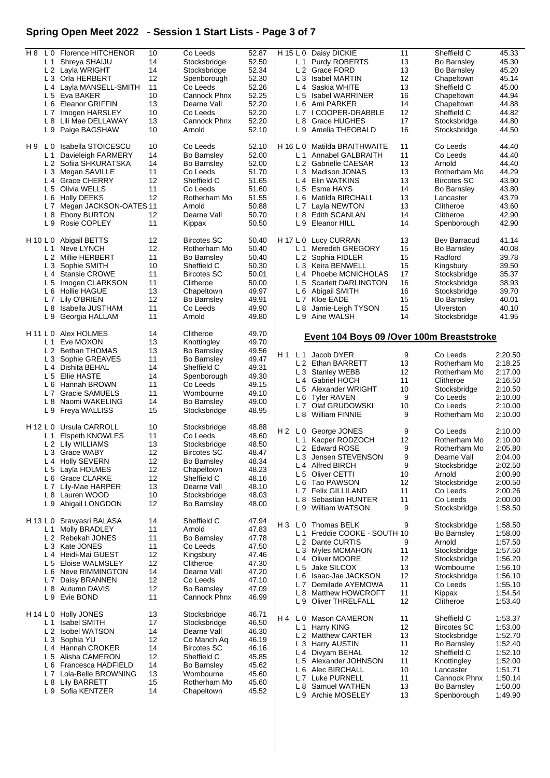# **Spring Open Meet 2022 - Session 1 Start Lists - Page 3 of 7**

| H 8            | L 0 Florence HITCHENOR                | 10 | Co Leeds           | 52.87 |                | H 15 L 0 Daisy DICKIE                      | 11 | Sheffield C         | 45.33   |
|----------------|---------------------------------------|----|--------------------|-------|----------------|--------------------------------------------|----|---------------------|---------|
|                | L 1 Shreya SHAIJU                     | 14 |                    |       |                | L 1 Purdy ROBERTS                          | 13 |                     |         |
|                |                                       |    | Stocksbridge       | 52.50 |                |                                            |    | <b>Bo Barnsley</b>  | 45.30   |
|                | L 2 Layla WRIGHT                      | 14 | Stocksbridge       | 52.34 |                | L <sub>2</sub> Grace FORD                  | 13 | <b>Bo Barnsley</b>  | 45.20   |
|                | L 3 Orla HERBERT                      | 12 | Spenborough        | 52.30 |                | L 3 Isabel MARTIN                          | 12 | Chapeltown          | 45.14   |
|                | L 4 Layla MANSELL-SMITH               | 11 | Co Leeds           | 52.26 | L4             | Saskia WHITE                               | 13 | Sheffield C         | 45.00   |
|                | L 5 Eva BAKER                         | 10 | Cannock Phnx       | 52.25 |                | L 5 Isabel WARRINER                        | 16 | Chapeltown          | 44.94   |
|                |                                       |    |                    |       |                |                                            |    |                     |         |
|                | L 6 Eleanor GRIFFIN                   | 13 | Dearne Vall        | 52.20 | L 6            | Ami PARKER                                 | 14 | Chapeltown          | 44.88   |
|                | L 7 Imogen HARSLEY                    | 10 | Co Leeds           | 52.20 |                | L7 ICOOPER-DRABBLE                         | 12 | Sheffield C         | 44.82   |
|                | L 8 Lili Mae DELLAWAY                 | 13 | Cannock Phnx       | 52.20 | L 8            | <b>Grace HUGHES</b>                        | 17 | Stocksbridge        | 44.80   |
|                | L 9 Paige BAGSHAW                     | 10 | Arnold             | 52.10 |                | L 9 Amelia THEOBALD                        | 16 | Stocksbridge        | 44.50   |
|                |                                       |    |                    |       |                |                                            |    |                     |         |
| H 9<br>L 0     | Isabella STOICESCU                    | 10 | Co Leeds           | 52.10 | $H$ 16 L 0     | Matilda BRAITHWAITE                        | 11 | Co Leeds            | 44.40   |
| L <sub>1</sub> | Davieleigh FARMERY                    | 14 | <b>Bo Barnsley</b> | 52.00 | L 1            | Annabel GALBRAITH                          | 11 | Co Leeds            | 44.40   |
|                | L <sub>2</sub><br>Sofiia SHKURATSKA   | 14 | <b>Bo Barnsley</b> | 52.00 |                | L 2 Gabrielle CAESAR                       | 13 | Arnold              | 44.40   |
|                |                                       |    |                    |       |                |                                            |    |                     |         |
|                | L 3 Megan SAVILLE                     | 11 | Co Leeds           | 51.70 |                | L 3 Madison JONAS                          | 13 | Rotherham Mo        | 44.29   |
|                | L 4 Grace CHERRY                      | 12 | Sheffield C        | 51.65 | L4             | Elin WATKINS                               | 13 | <b>Bircotes SC</b>  | 43.90   |
|                | L 5 Olivia WELLS                      | 11 | Co Leeds           | 51.60 | L <sub>5</sub> | Esme HAYS                                  | 14 | <b>Bo Barnsley</b>  | 43.80   |
| L 6            | <b>Holly DEEKS</b>                    | 12 | Rotherham Mo       | 51.55 | L 6            | Matilda BIRCHALL                           | 13 | Lancaster           | 43.79   |
|                |                                       |    |                    |       |                |                                            |    |                     |         |
| L <sub>7</sub> | Megan JACKSON-OATES 11                |    | Arnold             | 50.88 |                | L 7 Layla NEWTON                           | 13 | Clitheroe           | 43.60   |
| L <sub>8</sub> | Ebony BURTON                          | 12 | Dearne Vall        | 50.70 | L 8            | <b>Edith SCANLAN</b>                       | 14 | Clitheroe           | 42.90   |
|                | L 9 Rosie COPLEY                      | 11 | Kippax             | 50.50 |                | L 9 Eleanor HILL                           | 14 | Spenborough         | 42.90   |
|                |                                       |    |                    |       |                |                                            |    |                     |         |
|                | H 10 L 0 Abigail BETTS                | 12 | <b>Bircotes SC</b> | 50.40 |                | H 17 L 0 Lucy CURRAN                       | 13 | <b>Bev Barracud</b> | 41.14   |
| L <sub>1</sub> | Neve LYNCH                            | 12 | Rotherham Mo       | 50.40 | L <sub>1</sub> | Meredith GREGORY                           | 15 | <b>Bo Barnsley</b>  | 40.08   |
|                | L 2 Millie HERBERT                    | 11 | <b>Bo Barnsley</b> | 50.40 |                | L 2 Sophia FIDLER                          | 15 | Radford             | 39.78   |
|                |                                       |    |                    |       |                |                                            |    |                     |         |
| L <sub>3</sub> | Sophie SMITH                          | 10 | Sheffield C        | 50.30 |                | L 3 Keira BENWELL                          | 15 | Kingsbury           | 39.50   |
|                | L <sub>4</sub> Stansie CROWE          | 11 | <b>Bircotes SC</b> | 50.01 | L4             | Phoebe MCNICHOLAS                          | 17 | Stocksbridge        | 35.37   |
|                | L 5 Imogen CLARKSON                   | 11 | Clitheroe          | 50.00 | L 5            | <b>Scarlett DARLINGTON</b>                 | 16 | Stocksbridge        | 38.93   |
| L 6            | Hollie HAGUE                          | 13 | Chapeltown         | 49.97 | L 6            | Abigail SMITH                              | 16 | Stocksbridge        | 39.70   |
|                |                                       |    |                    |       |                |                                            |    |                     |         |
|                | L 7 Lily O'BRIEN                      | 12 | <b>Bo Barnsley</b> | 49.91 |                | L 7 Kloe EADE                              | 15 | <b>Bo Barnsley</b>  | 40.01   |
| L8             | Isabella JUSTHAM                      | 11 | Co Leeds           | 49.90 | L 8            | Jamie-Leigh TYSON                          | 15 | <b>Ulverston</b>    | 40.10   |
| L9             | Georgia HALLAM                        | 11 | Arnold             | 49.80 |                | L 9 Aine WALSH                             | 14 | Stocksbridge        | 41.95   |
|                |                                       |    |                    |       |                |                                            |    |                     |         |
|                | H 11 L 0 Alex HOLMES                  | 14 | Clitheroe          | 49.70 |                | Event 104 Boys 09 / Over 100m Breaststroke |    |                     |         |
| L <sub>1</sub> | Eve MOXON                             | 13 | Knottingley        | 49.70 |                |                                            |    |                     |         |
|                | L 2 Bethan THOMAS                     | 13 | <b>Bo Barnsley</b> | 49.56 |                |                                            |    |                     |         |
|                |                                       |    |                    |       | H 1            | L 1 Jacob DYER                             | 9  | Co Leeds            | 2:20.50 |
|                | L 3 Sophie GREAVES                    | 11 | <b>Bo Barnsley</b> | 49.47 |                | L 2 Ethan BARRETT                          | 13 | Rotherham Mo        | 2:18.25 |
|                | L 4 Dishita BEHAL                     | 14 | Sheffield C        | 49.31 |                | L 3 Stanley WEBB                           | 12 | Rotherham Mo        | 2:17.00 |
|                | L 5 Ellie HASTE                       | 14 | Spenborough        | 49.30 |                |                                            |    |                     |         |
|                | L 6 Hannah BROWN                      | 11 | Co Leeds           | 49.15 | L <sub>4</sub> | <b>Gabriel HOCH</b>                        | 11 | Clitheroe           | 2:16.50 |
|                |                                       |    |                    |       |                | L 5 Alexander WRIGHT                       | 10 | Stocksbridge        | 2:10.50 |
| L <sub>7</sub> | <b>Gracie SAMUELS</b>                 | 11 | Wombourne          | 49.10 | L 6            | Tyler RAVEN                                | 9  | Co Leeds            | 2:10.00 |
|                | L 8 Naomi WAKELING                    | 14 | <b>Bo Barnsley</b> | 49.00 |                | L7 Olaf GRUDOWSKI                          | 10 | Co Leeds            | 2:10.00 |
|                | L 9 Freya WALLISS                     | 15 | Stocksbridge       | 48.95 |                |                                            |    |                     |         |
|                |                                       |    |                    |       |                | L 8 William FINNIE                         | 9  | Rotherham Mo        | 2:10.00 |
|                | H 12 L 0 Ursula CARROLL               | 10 | Stocksbridge       | 48.88 |                |                                            |    |                     |         |
| L <sub>1</sub> | Elspeth KNOWLES                       | 11 | Co Leeds           | 48.60 | H 2<br>L 0     | George JONES                               | 9  | Co Leeds            | 2:10.00 |
|                |                                       |    |                    |       | L <sub>1</sub> | Kacper RODZOCH                             | 12 | Rotherham Mo        | 2:10.00 |
|                | L 2 Lily WILLIAMS                     | 13 | Stocksbridge       | 48.50 |                | L 2 Edward ROSE                            | 9  | Rotherham Mo        | 2:05.80 |
|                | L 3 Grace WABY                        | 12 | <b>Bircotes SC</b> | 48.47 |                | 1.3 Jensen STEVENSON                       | q  | Dearne Vall         | 2:04.00 |
|                | L 4 Holly SEVERN                      | 12 | <b>Bo Barnsley</b> | 48.34 |                |                                            |    |                     |         |
|                | L 5 Layla HOLMES                      | 12 | Chapeltown         | 48.23 |                | L 4 Alfred BIRCH                           | 9  | Stocksbridge        | 2:02.50 |
|                | L 6 Grace CLARKE                      |    |                    |       |                | L 5 Oliver CETTI                           | 10 | Arnold              | 2:00.90 |
|                |                                       | 12 | Sheffield C        | 48.16 | L 6            | Tao PAWSON                                 | 12 | Stocksbridge        | 2:00.50 |
|                | L 7 Lily-Mae HARPER                   | 13 | Dearne Vall        | 48.10 |                | L 7 Felix GILLILAND                        | 11 | Co Leeds            | 2:00.26 |
|                | L 8 Lauren WOOD                       | 10 | Stocksbridge       | 48.03 |                |                                            |    |                     |         |
|                | L 9 Abigail LONGDON                   | 12 | <b>Bo Barnsley</b> | 48.00 | L 8            | Sebastian HUNTER                           | 11 | Co Leeds            | 2:00.00 |
|                |                                       |    |                    |       | L 9            | William WATSON                             | 9  | Stocksbridge        | 1:58.50 |
|                | H 13 L 0 Sravyasri BALASA             | 14 | Sheffield C        | 47.94 |                |                                            |    |                     |         |
|                | Molly BRADLEY<br>L <sub>1</sub>       | 11 | Arnold             | 47.83 | HЗ<br>L 0      | Thomas BELK                                | 9  | Stocksbridge        | 1:58.50 |
|                | L <sub>2</sub> Rebekah JONES          | 11 |                    |       |                | L 1 Freddie COOKE - SOUTH 10               |    | <b>Bo Barnsley</b>  | 1:58.00 |
|                |                                       |    | <b>Bo Barnsley</b> | 47.78 |                | L 2 Dante CURTIS                           | 9  | Arnold              | 1:57.50 |
|                | L 3 Kate JONES                        | 11 | Co Leeds           | 47.50 |                | L 3 Myles MCMAHON                          | 11 | Stocksbridge        | 1:57.50 |
|                | L 4 Heidi-Mai GUEST                   | 12 | Kingsbury          | 47.46 |                |                                            |    |                     |         |
| L <sub>5</sub> | Eloise WALMSLEY                       | 12 | Clitheroe          | 47.30 |                | L 4 Oliver MOORE                           | 12 | Stocksbridge        | 1:56.20 |
|                | L6 Neve RIMMINGTON                    | 14 | Dearne Vall        | 47.20 |                | L 5 Jake SILCOX                            | 13 | Wombourne           | 1:56.10 |
|                |                                       |    |                    |       | L 6            | Isaac-Jae JACKSON                          | 12 | Stocksbridge        | 1:56.10 |
| L <sub>7</sub> | Daisy BRANNEN                         | 12 | Co Leeds           | 47.10 |                | L 7 Demilade AYEMOWA                       | 11 | Co Leeds            | 1:55.10 |
|                | L 8 Autumn DAVIS                      | 12 | <b>Bo Barnsley</b> | 47.09 |                |                                            |    |                     |         |
|                | L 9 Evie BOND                         | 11 | Cannock Phnx       | 46.99 | L 8            | Matthew HOWCROFT                           | 11 | Kippax              | 1:54.54 |
|                |                                       |    |                    |       | L 9            | <b>Oliver THRELFALL</b>                    | 12 | Clitheroe           | 1:53.40 |
| H 14 L 0       | <b>Holly JONES</b>                    | 13 | Stocksbridge       | 46.71 | H 4            | L 0 Mason CAMERON                          | 11 | Sheffield C         | 1:53.37 |
| L <sub>1</sub> | Isabel SMITH                          | 17 | Stocksbridge       | 46.50 |                |                                            |    |                     |         |
|                | L <sub>2</sub> Isobel WATSON          | 14 | Dearne Vall        | 46.30 |                | L 1 Harry KING                             | 12 | <b>Bircotes SC</b>  | 1:53.00 |
|                |                                       |    |                    |       |                | L 2 Matthew CARTER                         | 13 | Stocksbridge        | 1:52.70 |
|                | L 3 Sophia YU                         | 12 | Co Manch Aq        | 46.19 |                | L 3 Harry AUSTIN                           | 11 | <b>Bo Barnsley</b>  | 1:52.40 |
|                | L 4 Hannah CROKER                     | 14 | <b>Bircotes SC</b> | 46.16 |                |                                            |    |                     |         |
|                | L 5 Alisha CAMERON                    | 12 | Sheffield C        | 45.85 | L 4            | Divyam BEHAL                               | 12 | Sheffield C         | 1:52.10 |
|                | L 6 Francesca HADFIELD                | 14 | <b>Bo Barnsley</b> | 45.62 |                | L 5 Alexander JOHNSON                      | 11 | Knottingley         | 1:52.00 |
|                |                                       |    |                    |       | L 6            | Alec BIRCHALL                              | 10 | Lancaster           | 1:51.71 |
|                | L <sub>7</sub><br>Lola-Belle BROWNING | 13 | Wombourne          | 45.60 |                | L 7 Luke PURNELL                           | 11 | Cannock Phnx        | 1:50.14 |
| L 8            | <b>Lily BARRETT</b>                   | 15 | Rotherham Mo       | 45.60 |                |                                            |    |                     |         |
| L9             | Sofia KENTZER                         | 14 | Chapeltown         | 45.52 | L 8            | Samuel WATHEN                              | 13 | <b>Bo Barnsley</b>  | 1:50.00 |
|                |                                       |    |                    |       |                | L 9 Archie MOSELEY                         | 13 | Spenborough         | 1:49.90 |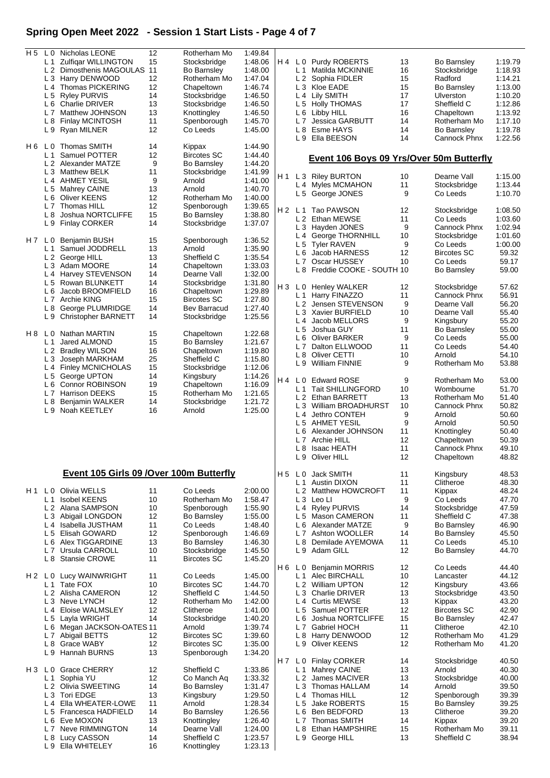# **Spring Open Meet 2022 - Session 1 Start Lists - Page 4 of 7**

| H <sub>5</sub> |                | L 0 Nicholas LEONE                       | 12 |                    |         |                |                |                                          |    |                    |         |
|----------------|----------------|------------------------------------------|----|--------------------|---------|----------------|----------------|------------------------------------------|----|--------------------|---------|
|                |                |                                          |    | Rotherham Mo       | 1:49.84 |                |                |                                          |    |                    |         |
|                | L 1            | <b>Zulfigar WILLINGTON</b>               | 15 | Stocksbridge       | 1:48.06 | H4             |                | L 0 Purdy ROBERTS                        | 13 | <b>Bo Barnsley</b> | 1:19.79 |
|                |                | L 2 Dimosthenis MAGOULAS                 | 11 | <b>Bo Barnsley</b> | 1:48.00 |                | L 1            | Matilda MCKINNIE                         | 16 | Stocksbridge       | 1:18.93 |
|                | L <sub>3</sub> | Harry DENWOOD                            | 12 | Rotherham Mo       | 1:47.04 |                | L <sub>2</sub> | Sophia FIDLER                            | 15 | Radford            | 1:14.21 |
|                | L <sub>4</sub> | Thomas PICKERING                         | 12 | Chapeltown         | 1:46.74 |                | L <sub>3</sub> | Kloe EADE                                | 15 | <b>Bo Barnsley</b> | 1:13.00 |
|                |                | L 5 Ryley PURVIS                         | 14 | Stocksbridge       | 1:46.50 |                | L 4            | Lily SMITH                               | 17 | Ulverston          | 1:10.20 |
|                |                |                                          |    |                    |         |                |                |                                          |    |                    |         |
|                | L 6            | <b>Charlie DRIVER</b>                    | 13 | Stocksbridge       | 1:46.50 |                | L 5            | <b>Holly THOMAS</b>                      | 17 | Sheffield C        | 1:12.86 |
|                | L <sub>7</sub> | Matthew JOHNSON                          | 13 | Knottingley        | 1:46.50 |                | L 6            | Libby HILL                               | 16 | Chapeltown         | 1:13.92 |
|                | L 8            | <b>Finlay MCINTOSH</b>                   | 11 | Spenborough        | 1:45.70 |                | L7             | <b>Jessica GARBUTT</b>                   | 14 | Rotherham Mo       | 1:17.10 |
|                | L 9            | Ryan MILNER                              | 12 | Co Leeds           | 1:45.00 |                | L <sub>8</sub> | Esme HAYS                                | 14 | <b>Bo Barnsley</b> | 1:19.78 |
|                |                |                                          |    |                    |         |                | L9             | Ella BEESON                              | 14 | Cannock Phnx       | 1:22.56 |
| H 6            | L 0            | Thomas SMITH                             | 14 | Kippax             | 1:44.90 |                |                |                                          |    |                    |         |
|                | L <sub>1</sub> | Samuel POTTER                            | 12 | <b>Bircotes SC</b> | 1:44.40 |                |                |                                          |    |                    |         |
|                |                |                                          |    |                    |         |                |                | Event 106 Boys 09 Yrs/Over 50m Butterfly |    |                    |         |
|                |                | L 2 Alexander MATZE                      | 9  | <b>Bo Barnsley</b> | 1:44.20 |                |                |                                          |    |                    |         |
|                | L <sub>3</sub> | <b>Matthew BELK</b>                      | 11 | Stocksbridge       | 1:41.99 | H1             |                | L 3 Riley BURTON                         | 10 | Dearne Vall        | 1:15.00 |
|                |                | L 4 AHMET YESIL                          | 9  | Arnold             | 1:41.00 |                |                | L 4 Myles MCMAHON                        | 11 | Stocksbridge       | 1:13.44 |
|                | L <sub>5</sub> | Mahrey CAINE                             | 13 | Arnold             | 1:40.70 |                | L <sub>5</sub> |                                          | 9  | Co Leeds           | 1:10.70 |
|                | L 6            | Oliver KEENS                             | 12 | Rotherham Mo       | 1:40.00 |                |                | George JONES                             |    |                    |         |
|                | L <sub>7</sub> | Thomas HILL                              | 12 | Spenborough        | 1:39.65 |                |                |                                          |    |                    |         |
|                | L8             | Joshua NORTCLIFFE                        | 15 | <b>Bo Barnsley</b> | 1:38.80 | H <sub>2</sub> | L <sub>1</sub> | Tao PAWSON                               | 12 | Stocksbridge       | 1:08.50 |
|                | L9             | <b>Finlay CORKER</b>                     | 14 | Stocksbridge       | 1:37.07 |                |                | L 2 Ethan MEWSE                          | 11 | Co Leeds           | 1:03.60 |
|                |                |                                          |    |                    |         |                | L 3            | Hayden JONES                             | 9  | Cannock Phnx       | 1:02.94 |
|                |                |                                          |    |                    |         |                |                | L 4 George THORNHILL                     | 10 | Stocksbridge       | 1:01.60 |
| $H7$ LO        |                | <b>Benjamin BUSH</b>                     | 15 | Spenborough        | 1:36.52 |                | L <sub>5</sub> | <b>Tyler RAVEN</b>                       | 9  | Co Leeds           | 1:00.00 |
|                | L 1            | Samuel JODDRELL                          | 13 | Arnold             | 1:35.90 |                | L 6            | Jacob HARNESS                            | 12 | <b>Bircotes SC</b> | 59.32   |
|                |                | L 2 George HILL                          | 13 | Sheffield C        | 1:35.54 |                | L7             | Oscar HUSSEY                             | 10 | Co Leeds           | 59.17   |
|                | L <sub>3</sub> | Adam MOORE                               | 14 | Chapeltown         | 1:33.03 |                |                |                                          |    |                    |         |
|                | L 4            | Harvey STEVENSON                         | 14 | Dearne Vall        | 1:32.00 |                | L 8            | Freddie COOKE - SOUTH 10                 |    | Bo Barnsley        | 59.00   |
|                | L <sub>5</sub> | Rowan BLUNKETT                           | 14 | Stocksbridge       | 1:31.80 |                |                |                                          |    |                    |         |
|                |                | L 6 Jacob BROOMFIELD                     | 16 | Chapeltown         | 1:29.89 | H <sub>3</sub> | L 0            | <b>Henley WALKER</b>                     | 12 | Stocksbridge       | 57.62   |
|                |                |                                          |    |                    |         |                | L 1            | Harry FINAZZO                            | 11 | Cannock Phnx       | 56.91   |
|                | L <sub>7</sub> | Archie KING                              | 15 | <b>Bircotes SC</b> | 1:27.80 |                | L 2            | Jensen STEVENSON                         | 9  | Dearne Vall        | 56.20   |
|                | L 8            | George PLUMRIDGE                         | 14 | Bev Barracud       | 1:27.40 |                | L <sub>3</sub> | Xavier BURFIELD                          | 10 | Dearne Vall        | 55.40   |
|                | L 9            | <b>Christopher BARNETT</b>               | 14 | Stocksbridge       | 1:25.56 |                | L4             | Jacob MELLORS                            | 9  | Kingsbury          | 55.20   |
|                |                |                                          |    |                    |         |                |                |                                          |    |                    |         |
| H 8            | L 0            | Nathan MARTIN                            | 15 | Chapeltown         | 1:22.68 |                | L <sub>5</sub> | Joshua GUY                               | 11 | <b>Bo Barnsley</b> | 55.00   |
|                | L <sub>1</sub> | Jared ALMOND                             | 15 | <b>Bo Barnsley</b> | 1:21.67 |                | L 6            | <b>Oliver BARKER</b>                     | 9  | Co Leeds           | 55.00   |
|                | L <sub>2</sub> | <b>Bradley WILSON</b>                    | 16 | Chapeltown         | 1:19.80 |                | L7             | Dalton ELLWOOD                           | 11 | Co Leeds           | 54.40   |
|                |                |                                          |    |                    |         |                | L 8            | Oliver CETTI                             | 10 | Arnold             | 54.10   |
|                | L3             | Joseph MARKHAM                           | 25 | Sheffield C        | 1:15.80 |                |                | L 9 William FINNIE                       | 9  | Rotherham Mo       | 53.88   |
|                | L4             | <b>Finley MCNICHOLAS</b>                 | 15 | Stocksbridge       | 1:12.06 |                |                |                                          |    |                    |         |
|                | L <sub>5</sub> | George UPTON                             | 14 | Kingsbury          | 1:14.26 | H 4            | L 0            | <b>Edward ROSE</b>                       | 9  | Rotherham Mo       | 53.00   |
|                | L 6            | <b>Connor ROBINSON</b>                   | 19 | Chapeltown         | 1:16.09 |                | L <sub>1</sub> | <b>Tait SHILLINGFORD</b>                 | 10 | Wombourne          | 51.70   |
|                | L7             | <b>Harrison DEEKS</b>                    | 15 | Rotherham Mo       | 1:21.65 |                |                |                                          |    |                    |         |
|                | L 8            | Benjamin WALKER                          | 14 | Stocksbridge       | 1:21.72 |                | L <sub>2</sub> | Ethan BARRETT                            | 13 | Rotherham Mo       | 51.40   |
|                | L 9            | Noah KEETLEY                             | 16 | Arnold             | 1:25.00 |                | L <sub>3</sub> | William BROADHURST                       | 10 | Cannock Phnx       | 50.82   |
|                |                |                                          |    |                    |         |                | L4             | Jethro CONTEH                            | 9  | Arnold             | 50.60   |
|                |                |                                          |    |                    |         |                |                |                                          |    |                    |         |
|                |                |                                          |    |                    |         |                | L 5            | AHMET YESIL                              | 9  | Arnold             | 50.50   |
|                |                |                                          |    |                    |         |                | L 6            | Alexander JOHNSON                        | 11 |                    | 50.40   |
|                |                |                                          |    |                    |         |                |                |                                          |    | Knottingley        |         |
|                |                |                                          |    |                    |         |                | L <sub>7</sub> | Archie HILL                              | 12 | Chapeltown         | 50.39   |
|                |                |                                          |    |                    |         |                | L 8            | Isaac HEATH                              | 11 | Cannock Phnx       | 49.10   |
|                |                |                                          |    |                    |         |                | L 9            | Oliver HILL                              | 12 | Chapeltown         | 48.82   |
|                |                |                                          |    |                    |         |                |                |                                          |    |                    |         |
|                |                | Event 105 Girls 09 / Over 100m Butterfly |    |                    |         | H 5            |                | L 0 Jack SMITH                           | 11 | Kingsbury          | 48.53   |
|                |                |                                          |    |                    |         |                | L 1            | <b>Austin DIXON</b>                      | 11 | Clitheroe          | 48.30   |
| H 1            |                | L 0 Olivia WELLS                         | 11 | Co Leeds           | 2:00.00 |                |                | L 2 Matthew HOWCROFT                     | 11 | Kippax             | 48.24   |
|                | L 1            | <b>Isobel KEENS</b>                      | 10 | Rotherham Mo       | 1:58.47 |                | L <sub>3</sub> | Leo Ll                                   | 9  | Co Leeds           | 47.70   |
|                |                | L 2 Alana SAMPSON                        | 10 | Spenborough        | 1:55.90 |                | L4             | <b>Ryley PURVIS</b>                      | 14 | Stocksbridge       | 47.59   |
|                | L <sub>3</sub> | Abigail LONGDON                          | 12 | Bo Barnsley        | 1:55.00 |                | L <sub>5</sub> | <b>Mason CAMERON</b>                     | 11 | Sheffield C        | 47.38   |
|                | L <sub>4</sub> |                                          |    | Co Leeds           |         |                |                |                                          |    |                    |         |
|                |                | Isabella JUSTHAM                         | 11 |                    | 1:48.40 |                | L 6            | Alexander MATZE                          | 9  | <b>Bo Barnsley</b> | 46.90   |
|                | L <sub>5</sub> | Elisah GOWARD                            | 12 | Spenborough        | 1:46.69 |                | L 7            | Ashton WOOLLER                           | 14 | <b>Bo Barnsley</b> | 45.50   |
|                | L 6            | Alex TIGGARDINE                          | 13 | <b>Bo Barnsley</b> | 1:46.30 |                | L 8            | Demilade AYEMOWA                         | 11 | Co Leeds           | 45.10   |
|                | L <sub>7</sub> | Ursula CARROLL                           | 10 | Stocksbridge       | 1:45.50 |                | L 9            | Adam GILL                                | 12 | <b>Bo Barnsley</b> | 44.70   |
|                | L 8            | <b>Stansie CROWE</b>                     | 11 | <b>Bircotes SC</b> | 1:45.20 |                |                |                                          |    |                    |         |
|                |                |                                          |    |                    |         | H 6            | L 0            | <b>Benjamin MORRIS</b>                   | 12 | Co Leeds           | 44.40   |
| $H2$ LO        |                | Lucy WAINWRIGHT                          | 11 | Co Leeds           | 1:45.00 |                | L <sub>1</sub> | Alec BIRCHALL                            | 10 | Lancaster          | 44.12   |
|                |                | L 1 Tate FOX                             | 10 | <b>Bircotes SC</b> | 1:44.70 |                |                | L 2 William UPTON                        | 12 | Kingsbury          | 43.66   |
|                | L <sub>2</sub> |                                          |    |                    |         |                |                |                                          |    |                    |         |
|                |                | Alisha CAMERON                           | 12 | Sheffield C        | 1:44.50 |                | L <sub>3</sub> | <b>Charlie DRIVER</b>                    | 13 | Stocksbridge       | 43.50   |
|                |                | L 3 Neve LYNCH                           | 12 | Rotherham Mo       | 1:42.00 |                |                | L 4 Curtis MEWSE                         | 13 | Kippax             | 43.20   |
|                | L4             | Eloise WALMSLEY                          | 12 | Clitheroe          | 1:41.00 |                | L 5            | Samuel POTTER                            | 12 | <b>Bircotes SC</b> | 42.90   |
|                | L <sub>5</sub> | Layla WRIGHT                             | 14 | Stocksbridge       | 1:40.20 |                | L 6            | Joshua NORTCLIFFE                        | 15 | <b>Bo Barnsley</b> | 42.47   |
|                | L6             | Megan JACKSON-OATES 11                   |    | Arnold             | 1:39.74 |                | L <sub>7</sub> | Gabriel HOCH                             | 11 | Clitheroe          | 42.10   |
|                | L7             | Abigail BETTS                            | 12 | <b>Bircotes SC</b> | 1:39.60 |                | L 8            | Harry DENWOOD                            | 12 | Rotherham Mo       | 41.29   |
|                | L8             | Grace WABY                               | 12 | <b>Bircotes SC</b> | 1:35.00 |                | L 9            | Oliver KEENS                             | 12 | Rotherham Mo       | 41.20   |
|                | L <sub>9</sub> | Hannah BURNS                             | 13 | Spenborough        | 1:34.20 |                |                |                                          |    |                    |         |
|                |                |                                          |    |                    |         | H 7            | L0             |                                          | 14 | Stocksbridge       | 40.50   |
|                | L 0            |                                          |    |                    |         |                |                | <b>Finlay CORKER</b>                     |    |                    |         |
| H <sub>3</sub> |                | <b>Grace CHERRY</b>                      | 12 | Sheffield C        | 1:33.86 |                | L 1            | Mahrey CAINE                             | 13 | Arnold             | 40.30   |
|                | L <sub>1</sub> | Sophia YU                                | 12 | Co Manch Aq        | 1:33.32 |                | L 2            | James MACIVER                            | 13 | Stocksbridge       | 40.00   |
|                | L <sub>2</sub> | Olivia SWEETING                          | 14 | Bo Barnsley        | 1:31.47 |                | L <sub>3</sub> | Thomas HALLAM                            | 14 | Arnold             | 39.50   |
|                |                | L 3 Tori EDGE                            | 13 | Kingsbury          | 1:29.50 |                |                | L 4 Thomas HILL                          | 12 | Spenborough        | 39.39   |
|                | L4             | Ella WHEATER-LOWE                        | 11 | Arnold             | 1:28.34 |                | L <sub>5</sub> | Jake ROBERTS                             | 15 | Bo Barnsley        | 39.25   |
|                | L <sub>5</sub> | Francesca HADFIELD                       | 14 | <b>Bo Barnsley</b> | 1:26.56 |                | L 6            | Ben BEDFORD                              | 13 | Clitheroe          | 39.20   |
|                | L <sub>6</sub> | Eve MOXON                                | 13 | Knottingley        | 1:26.40 |                | L 7            | <b>Thomas SMITH</b>                      | 14 | Kippax             | 39.20   |
|                | L <sub>7</sub> | Neve RIMMINGTON                          | 14 | Dearne Vall        | 1:24.00 |                | L <sub>8</sub> | <b>Ethan HAMPSHIRE</b>                   | 15 | Rotherham Mo       | 39.11   |
|                | L 8            | Lucy CASSON                              | 14 | Sheffield C        | 1:23.57 |                |                | L 9 George HILL                          | 13 | Sheffield C        | 38.94   |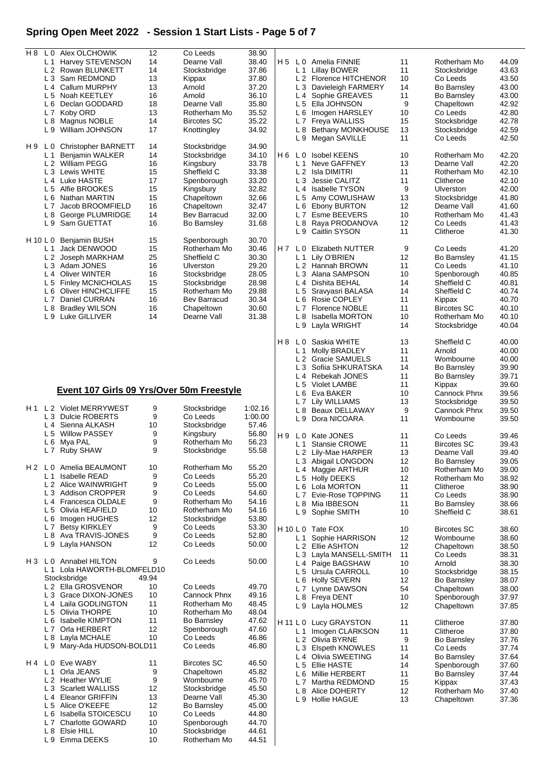## **Spring Open Meet 2022 - Session 1 Start Lists - Page 5 of 7**

| H 8      | L 0            | Alex OLCHOWIK                             | 12       | Co Leeds                     | 38.90          |       |                |                         |    |                    |       |
|----------|----------------|-------------------------------------------|----------|------------------------------|----------------|-------|----------------|-------------------------|----|--------------------|-------|
|          | L 1            | Harvey STEVENSON                          | 14       | Dearne Vall                  | 38.40          | H 5   |                | L 0 Amelia FINNIE       | 11 | Rotherham Mo       | 44.09 |
|          |                | L 2 Rowan BLUNKETT                        | 14       | Stocksbridge                 | 37.86          |       | L <sub>1</sub> | Lillay BOWER            | 11 | Stocksbridge       | 43.63 |
|          |                | L 3 Sam REDMOND                           | 13       | Kippax                       | 37.80          |       |                | L 2 Florence HITCHENOR  | 10 | Co Leeds           | 43.50 |
|          |                | L 4 Callum MURPHY                         | 13       | Arnold                       | 37.20          |       | L <sub>3</sub> | Davieleigh FARMERY      | 14 | <b>Bo Barnsley</b> | 43.00 |
|          |                | L 5 Noah KEETLEY                          | 16       | Arnold                       | 36.10          |       |                | L 4 Sophie GREAVES      | 11 | <b>Bo Barnsley</b> | 43.00 |
|          |                | L 6 Declan GODDARD                        | 18       | Dearne Vall                  | 35.80          |       | L <sub>5</sub> | Ella JOHNSON            | 9  | Chapeltown         | 42.92 |
|          |                |                                           |          |                              |                |       |                |                         |    |                    |       |
|          |                | L 7 Koby ORD                              | 13       | Rotherham Mo                 | 35.52          |       | L 6            | Imogen HARSLEY          | 10 | Co Leeds           | 42.80 |
|          | L 8            | Magnus NOBLE                              | 14       | <b>Bircotes SC</b>           | 35.22          |       | L <sub>7</sub> | Freya WALLISS           | 15 | Stocksbridge       | 42.78 |
|          |                | L 9 William JOHNSON                       | 17       | Knottingley                  | 34.92          |       |                | L 8 Bethany MONKHOUSE   | 13 | Stocksbridge       | 42.59 |
|          |                |                                           |          |                              |                |       |                | L 9 Megan SAVILLE       | 11 | Co Leeds           | 42.50 |
| H 9      | L 0            | <b>Christopher BARNETT</b>                | 14       | Stocksbridge                 | 34.90          |       |                |                         |    |                    |       |
|          | L 1            | Benjamin WALKER                           | 14       | Stocksbridge                 | 34.10          | H6 LO |                | <b>Isobel KEENS</b>     | 10 | Rotherham Mo       | 42.20 |
|          |                | L 2 William PEGG                          | 16       | Kingsbury                    | 33.78          |       | L1             | Neve GAFFNEY            | 13 | Dearne Vall        | 42.20 |
|          |                | L 3 Lewis WHITE                           | 15       | Sheffield C                  | 33.38          |       |                | L 2 Isla DIMITRI        | 11 | Rotherham Mo       | 42.10 |
|          |                | L 4 Luke HASTE                            | 17       | Spenborough                  | 33.20          |       | L <sub>3</sub> | Jessie CALITZ           | 11 | Clitheroe          | 42.10 |
|          |                |                                           |          |                              |                |       |                |                         |    |                    |       |
|          |                | L 5 Alfie BROOKES                         | 15       | Kingsbury                    | 32.82          |       |                | L 4 Isabelle TYSON      | 9  | Ulverston          | 42.00 |
|          | L 6            | Nathan MARTIN                             | 15       | Chapeltown                   | 32.66          |       | L <sub>5</sub> | Amy COWLISHAW           | 13 | Stocksbridge       | 41.80 |
|          |                | L 7 Jacob BROOMFIELD                      | 16       | Chapeltown                   | 32.47          |       |                | L 6 Ebony BURTON        | 12 | Dearne Vall        | 41.60 |
|          | L <sub>8</sub> | George PLUMRIDGE                          | 14       | <b>Bev Barracud</b>          | 32.00          |       | L <sub>7</sub> | Esme BEEVERS            | 10 | Rotherham Mo       | 41.43 |
|          |                | L 9 Sam GUETTAT                           | 16       | <b>Bo Barnsley</b>           | 31.68          |       |                | L 8 Raya PRODANOVA      | 12 | Co Leeds           | 41.43 |
|          |                |                                           |          |                              |                |       |                | L 9 Caitlin SYSON       | 11 | Clitheroe          | 41.30 |
| H 10 L 0 |                | <b>Benjamin BUSH</b>                      | 15       | Spenborough                  | 30.70          |       |                |                         |    |                    |       |
|          | L <sub>1</sub> | Jack DENWOOD                              | 15       | Rotherham Mo                 | 30.46          | H 7   | L 0            | <b>Elizabeth NUTTER</b> | 9  | Co Leeds           | 41.20 |
|          |                | L 2 Joseph MARKHAM                        | 25       | Sheffield C                  | 30.30          |       | L <sub>1</sub> | Lily O'BRIEN            | 12 | <b>Bo Barnsley</b> | 41.15 |
|          |                |                                           |          |                              |                |       |                |                         |    |                    |       |
|          |                | L 3 Adam JONES                            | 16       | Ulverston                    | 29.20          |       |                | L 2 Hannah BROWN        | 11 | Co Leeds           | 41.10 |
|          | L 4            | <b>Oliver WINTER</b>                      | 16       | Stocksbridge                 | 28.05          |       |                | L 3 Alana SAMPSON       | 10 | Spenborough        | 40.85 |
|          | L <sub>5</sub> | <b>Finley MCNICHOLAS</b>                  | 15       | Stocksbridge                 | 28.98          |       |                | L 4 Dishita BEHAL       | 14 | Sheffield C        | 40.81 |
|          | L 6            | Oliver HINCHCLIFFE                        | 15       | Rotherham Mo                 | 29.88          |       | L 5            | Sravyasri BALASA        | 14 | Sheffield C        | 40.74 |
|          |                | L 7 Daniel CURRAN                         | 16       | <b>Bev Barracud</b>          | 30.34          |       |                | L 6 Rosie COPLEY        | 11 | Kippax             | 40.70 |
|          | L 8            | <b>Bradley WILSON</b>                     | 16       | Chapeltown                   | 30.60          |       |                | L 7 Florence NOBLE      | 11 | <b>Bircotes SC</b> | 40.10 |
|          | L 9            | Luke GILLIVER                             | 14       | Dearne Vall                  | 31.38          |       | L 8            | Isabella MORTON         | 10 | Rotherham Mo       | 40.10 |
|          |                |                                           |          |                              |                |       | L9             | Layla WRIGHT            | 14 | Stocksbridge       | 40.04 |
|          |                |                                           |          |                              |                |       |                |                         |    |                    |       |
|          |                |                                           |          |                              |                |       |                |                         |    |                    |       |
|          |                |                                           |          |                              |                | H 8   | L 0            | Saskia WHITE            | 13 | Sheffield C        | 40.00 |
|          |                |                                           |          |                              |                |       | L <sub>1</sub> | Molly BRADLEY           | 11 | Arnold             | 40.00 |
|          |                |                                           |          |                              |                |       |                | L 2 Gracie SAMUELS      | 11 | Wombourne          | 40.00 |
|          |                |                                           |          |                              |                |       |                | L 3 Sofiia SHKURATSKA   | 14 | <b>Bo Barnsley</b> | 39.90 |
|          |                |                                           |          |                              |                |       |                | L 4 Rebekah JONES       | 11 | <b>Bo Barnsley</b> | 39.71 |
|          |                |                                           |          |                              |                |       |                | L 5 Violet LAMBE        | 11 | Kippax             | 39.60 |
|          |                | Event 107 Girls 09 Yrs/Over 50m Freestyle |          |                              |                |       | L 6            | Eva BAKER               | 10 | Cannock Phnx       | 39.56 |
|          |                |                                           |          |                              |                |       |                |                         |    |                    |       |
|          |                |                                           |          |                              |                |       |                |                         |    |                    |       |
|          |                |                                           |          |                              |                |       | L 7            | Lily WILLIAMS           | 13 | Stocksbridge       | 39.50 |
| H 1      |                | L 2 Violet MERRYWEST                      | 9        | Stocksbridge                 | 1:02.16        |       |                | L 8 Beaux DELLAWAY      | 9  | Cannock Phnx       | 39.50 |
|          |                | L 3 Dulcie ROBERTS                        | 9        | Co Leeds                     | 1:00.00        |       | L9             | Dora NICOARA            | 11 | Wombourne          | 39.50 |
|          |                | L 4 Sienna ALKASH                         | 10       | Stocksbridge                 | 57.46          |       |                |                         |    |                    |       |
|          |                | L 5 Willow PASSEY                         | 9        | Kingsbury                    | 56.80          | H 9   | L 0            |                         | 11 |                    |       |
|          | L 6            | Mya PAL                                   | 9        | Rotherham Mo                 | 56.23          |       |                | Kate JONES              |    | Co Leeds           | 39.46 |
|          |                | L 7 Ruby SHAW                             | 9        | Stocksbridge                 | 55.58          |       |                | L 1 Stansie CROWE       | 11 | <b>Bircotes SC</b> | 39.43 |
|          |                |                                           |          |                              |                |       |                | L 2 Lily-Mae HARPER     | 13 | Dearne Vall        | 39.40 |
|          |                |                                           |          |                              |                |       |                | L 3 Abigail LONGDON     | 12 | <b>Bo Barnsley</b> | 39.05 |
| H 2      |                | L 0 Amelia BEAUMONT                       | 10       | Rotherham Mo                 | 55.20          |       |                | L 4 Maggie ARTHUR       | 10 | Rotherham Mo       | 39.00 |
|          | L 1            | <b>Isabelle READ</b>                      | 9        | Co Leeds                     | 55.20          |       |                | L 5 Holly DEEKS         | 12 | Rotherham Mo       | 38.92 |
|          |                | L 2 Alice WAINWRIGHT                      | 9        | Co Leeds                     | 55.00          |       |                | L 6 Lola MORTON         | 11 | Clitheroe          | 38.90 |
|          |                | L 3 Addison CROPPER                       | 9        | Co Leeds                     | 54.60          |       |                | L 7 Evie-Rose TOPPING   | 11 | Co Leeds           | 38.90 |
|          |                | L 4 Francesca OLDALE                      | 9        | Rotherham Mo                 | 54.16          |       |                |                         |    |                    |       |
|          |                | L 5 Olivia HEAFIELD                       | 10       | Rotherham Mo                 | 54.16          |       |                | L 8 Mia IBBESON         | 11 | <b>Bo Barnsley</b> | 38.66 |
|          | L 6            |                                           |          |                              |                |       | L 9            | Sophie SMITH            | 10 | Sheffield C        | 38.61 |
|          |                | Imogen HUGHES                             | 12       | Stocksbridge                 | 53.80          |       |                |                         |    |                    |       |
|          | L 7            | <b>Betsy KIRKLEY</b>                      | 9        | Co Leeds                     | 53.30          |       |                | H 10 L 0 Tate FOX       | 10 | <b>Bircotes SC</b> | 38.60 |
|          |                | L 8 Ava TRAVIS-JONES                      | 9        | Co Leeds                     | 52.80          |       | L 1            | Sophie HARRISON         | 12 | Wombourne          | 38.60 |
|          |                | L 9 Layla HANSON                          | 12       | Co Leeds                     | 50.00          |       |                | L 2 Ellie ASHTON        | 12 | Chapeltown         | 38.50 |
|          |                |                                           |          |                              |                |       |                | L 3 Layla MANSELL-SMITH | 11 | Co Leeds           | 38.31 |
|          |                | H 3 L 0 Annabel HILTON                    | 9        | Co Leeds                     | 50.00          |       | L4             | Paige BAGSHAW           | 10 | Arnold             | 38.30 |
|          | L <sub>1</sub> | Lola HAWORTH-BLOMFELD10                   |          |                              |                |       |                |                         | 10 |                    |       |
|          |                | Stocksbridge                              | 49.94    |                              |                |       |                | L 5 Ursula CARROLL      |    | Stocksbridge       | 38.15 |
|          |                | L <sub>2</sub> Ella GROSVENOR             | 10       | Co Leeds                     | 49.70          |       |                | L 6 Holly SEVERN        | 12 | <b>Bo Barnsley</b> | 38.07 |
|          |                |                                           |          |                              |                |       |                | L 7 Lynne DAWSON        | 54 | Chapeltown         | 38.00 |
|          |                | L 3 Grace DIXON-JONES                     | 10       | Cannock Phnx                 | 49.16          |       |                | L 8 Freya DENT          | 10 | Spenborough        | 37.97 |
|          |                | L 4 Laila GODLINGTON                      | 11       | Rotherham Mo                 | 48.45          |       |                | L 9 Layla HOLMES        | 12 | Chapeltown         | 37.85 |
|          |                | L 5 Olivia THORPE                         | 10       | Rotherham Mo                 | 48.04          |       |                |                         |    |                    |       |
|          |                | L 6 Isabelle KIMPTON                      | 11       | <b>Bo Barnsley</b>           | 47.62          |       |                | H 11 L 0 Lucy GRAYSTON  | 11 | Clitheroe          | 37.80 |
|          |                | L 7 Orla HERBERT                          | 12       | Spenborough                  | 47.60          |       |                | L 1 Imogen CLARKSON     | 11 | Clitheroe          | 37.80 |
|          |                | L 8 Layla MCHALE                          | 10       | Co Leeds                     | 46.86          |       |                | L 2 Olivia BYRNE        | 9  | Bo Barnsley        | 37.76 |
|          | L9             | Mary-Ada HUDSON-BOLD11                    |          | Co Leeds                     | 46.80          |       |                |                         | 11 |                    |       |
|          |                |                                           |          |                              |                |       |                | L 3 Elspeth KNOWLES     |    | Co Leeds           | 37.74 |
| H 4      | L 0            | Eve WABY                                  | 11       | <b>Bircotes SC</b>           |                |       |                | L 4 Olivia SWEETING     | 14 | Bo Barnsley        | 37.64 |
|          |                |                                           |          |                              | 46.50          |       |                | L 5 Ellie HASTE         | 14 | Spenborough        | 37.60 |
|          | L 1            | Orla JEANS                                | 9        | Chapeltown                   | 45.82          |       | L 6            | Millie HERBERT          | 11 | <b>Bo Barnsley</b> | 37.44 |
|          |                | L 2 Heather WYLIE                         | 9        | Wombourne                    | 45.70          |       |                | L 7 Martha REDMOND      | 15 | Kippax             | 37.43 |
|          |                | L 3 Scarlett WALLISS                      | 12       | Stocksbridge                 | 45.50          |       | L 8            | Alice DOHERTY           | 12 | Rotherham Mo       | 37.40 |
|          |                | L 4 Eleanor GRIFFIN                       | 13       | Dearne Vall                  | 45.30          |       |                | L 9 Hollie HAGUE        | 13 |                    | 37.36 |
|          |                | L 5 Alice O'KEEFE                         | 12       | <b>Bo Barnsley</b>           | 45.00          |       |                |                         |    | Chapeltown         |       |
|          | L 6            |                                           | 10       | Co Leeds                     |                |       |                |                         |    |                    |       |
|          |                | Isabella STOICESCU                        |          |                              | 44.80          |       |                |                         |    |                    |       |
|          |                | L 7 Charlotte GOWARD                      | 10       | Spenborough                  | 44.70          |       |                |                         |    |                    |       |
|          | L8             | Elsie HILL<br>L 9 Emma DEEKS              | 10<br>10 | Stocksbridge<br>Rotherham Mo | 44.61<br>44.51 |       |                |                         |    |                    |       |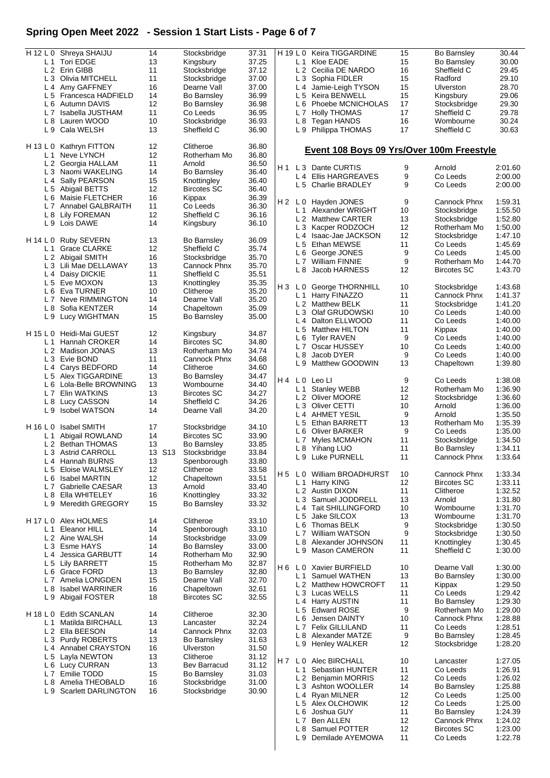## **Spring Open Meet 2022 - Session 1 Start Lists - Page 6 of 7**

|                | H 12 L 0 Shreya SHAIJU     | 14     | Stocksbridge       | 37.31 |                | H 19 L 0       | Keira TIGGARDINE                          | 15 | Bo Barnsley         | 30.44   |
|----------------|----------------------------|--------|--------------------|-------|----------------|----------------|-------------------------------------------|----|---------------------|---------|
|                |                            |        |                    |       |                |                |                                           |    |                     |         |
|                | L 1 Tori EDGE              | 13     | Kingsbury          | 37.25 |                | L 1            | Kloe EADE                                 | 15 | <b>Bo Barnsley</b>  | 30.00   |
|                | L 2 Erin GIBB              | 11     | Stocksbridge       | 37.12 |                |                | L 2 Cecilia DE NARDO                      | 16 | Sheffield C         | 29.45   |
|                | L 3 Olivia MITCHELL        | 11     | Stocksbridge       | 37.00 |                |                | L 3 Sophia FIDLER                         | 15 | Radford             | 29.10   |
|                |                            | 16     |                    |       |                |                |                                           | 15 |                     |         |
| L4             | Amy GAFFNEY                |        | Dearne Vall        | 37.00 |                | L4             | Jamie-Leigh TYSON                         |    | Ulverston           | 28.70   |
| L <sub>5</sub> | Francesca HADFIELD         | 14     | <b>Bo Barnsley</b> | 36.99 |                | L 5            | Keira BENWELL                             | 15 | Kingsbury           | 29.06   |
| L <sub>6</sub> | Autumn DAVIS               | 12     | <b>Bo Barnsley</b> | 36.98 |                | L <sub>6</sub> | Phoebe MCNICHOLAS                         | 17 | Stocksbridge        | 29.30   |
|                | Isabella JUSTHAM           |        |                    |       |                |                |                                           |    |                     |         |
| L <sub>7</sub> |                            | 11     | Co Leeds           | 36.95 |                | L <sub>7</sub> | <b>Holly THOMAS</b>                       | 17 | Sheffield C         | 29.78   |
| L <sub>8</sub> | Lauren WOOD                | 10     | Stocksbridge       | 36.93 |                | L 8            | <b>Tegan HANDS</b>                        | 16 | Wombourne           | 30.24   |
|                | L 9 Cala WELSH             | 13     | Sheffield C        | 36.90 |                |                | L 9 Philippa THOMAS                       | 17 | Sheffield C         | 30.63   |
|                |                            |        |                    |       |                |                |                                           |    |                     |         |
|                |                            |        |                    |       |                |                |                                           |    |                     |         |
| H 13 L 0       | Kathryn FITTON             | 12     | Clitheroe          | 36.80 |                |                | Event 108 Boys 09 Yrs/Over 100m Freestyle |    |                     |         |
| L 1            | Neve LYNCH                 | 12     | Rotherham Mo       | 36.80 |                |                |                                           |    |                     |         |
|                | L 2 Georgia HALLAM         | 11     | Arnold             | 36.50 |                |                |                                           |    |                     |         |
|                |                            |        |                    |       | H 1            |                | L 3 Dante CURTIS                          | 9  | Arnold              | 2:01.60 |
| L <sub>3</sub> | Naomi WAKELING             | 14     | <b>Bo Barnsley</b> | 36.40 |                | L4             | <b>Ellis HARGREAVES</b>                   | 9  | Co Leeds            | 2:00.00 |
| L4             | Sally PEARSON              | 15     | Knottingley        | 36.40 |                |                |                                           |    |                     |         |
| L <sub>5</sub> | Abigail BETTS              | 12     | <b>Bircotes SC</b> | 36.40 |                |                | L 5 Charlie BRADLEY                       | 9  | Co Leeds            | 2:00.00 |
|                |                            |        |                    |       |                |                |                                           |    |                     |         |
| L 6            | Maisie FLETCHER            | 16     | Kippax             | 36.39 | H <sub>2</sub> | L 0            | Hayden JONES                              | 9  | Cannock Phnx        | 1:59.31 |
|                | L 7 Annabel GALBRAITH      | 11     | Co Leeds           | 36.30 |                |                |                                           |    |                     |         |
| L 8            | Lily FOREMAN               | 12     | Sheffield C        | 36.16 |                | L 1            | Alexander WRIGHT                          | 10 | Stocksbridge        | 1:55.50 |
|                |                            |        |                    |       |                |                | L 2 Matthew CARTER                        | 13 | Stocksbridge        | 1:52.80 |
|                | L 9 Lois DAWE              | 14     | Kingsbury          | 36.10 |                | L 3            | Kacper RODZOCH                            | 12 | Rotherham Mo        | 1:50.00 |
|                |                            |        |                    |       |                |                |                                           |    |                     |         |
|                | H 14 L 0 Ruby SEVERN       | 13     | <b>Bo Barnsley</b> | 36.09 |                |                | L 4 Isaac-Jae JACKSON                     | 12 | Stocksbridge        | 1:47.10 |
|                |                            |        |                    |       |                | L <sub>5</sub> | Ethan MEWSE                               | 11 | Co Leeds            | 1:45.69 |
| L <sub>1</sub> | <b>Grace CLARKE</b>        | 12     | Sheffield C        | 35.74 |                | L 6            | George JONES                              | 9  | Co Leeds            | 1:45.00 |
|                | L 2 Abigail SMITH          | 16     | Stocksbridge       | 35.70 |                |                |                                           |    |                     |         |
|                | L 3 Lili Mae DELLAWAY      | 13     | Cannock Phnx       | 35.70 |                | L 7            | <b>William FINNIE</b>                     | 9  | Rotherham Mo        | 1:44.70 |
|                |                            |        |                    |       |                | L 8            | Jacob HARNESS                             | 12 | <b>Bircotes SC</b>  | 1:43.70 |
|                | L 4 Daisy DICKIE           | 11     | Sheffield C        | 35.51 |                |                |                                           |    |                     |         |
|                | L 5 Eve MOXON              | 13     | Knottingley        | 35.35 |                |                |                                           |    |                     |         |
|                |                            | 10     | Clitheroe          | 35.20 | $H_3$          | L0             | George THORNHILL                          | 10 | Stocksbridge        | 1:43.68 |
|                | L 6 Eva TURNER             |        |                    |       |                |                | L 1 Harry FINAZZO                         | 11 | Cannock Phnx        | 1:41.37 |
| L <sub>7</sub> | <b>Neve RIMMINGTON</b>     | 14     | Dearne Vall        | 35.20 |                |                |                                           |    |                     |         |
| L <sub>8</sub> | Sofia KENTZER              | 14     | Chapeltown         | 35.09 |                |                | L 2 Matthew BELK                          | 11 | Stocksbridge        | 1:41.20 |
|                |                            |        |                    |       |                | L <sub>3</sub> | Olaf GRUDOWSKI                            | 10 | Co Leeds            | 1:40.00 |
|                | L 9 Lucy WIGHTMAN          | 15     | <b>Bo Barnsley</b> | 35.00 |                | L4             | Dalton ELLWOOD                            | 11 | Co Leeds            | 1:40.00 |
|                |                            |        |                    |       |                |                |                                           |    |                     |         |
| H 15 L 0       | Heidi-Mai GUEST            | 12     | Kingsbury          | 34.87 |                | L <sub>5</sub> | Matthew HILTON                            | 11 | Kippax              | 1:40.00 |
|                |                            |        |                    |       |                | L 6            | <b>Tyler RAVEN</b>                        | 9  | Co Leeds            | 1:40.00 |
| L <sub>1</sub> | Hannah CROKER              | 14     | <b>Bircotes SC</b> | 34.80 |                | L 7            | Oscar HUSSEY                              | 10 | Co Leeds            | 1:40.00 |
|                | L 2 Madison JONAS          | 13     | Rotherham Mo       | 34.74 |                |                |                                           |    |                     |         |
| L <sub>3</sub> | Evie BOND                  | 11     | Cannock Phnx       | 34.68 |                | L <sub>8</sub> | Jacob DYER                                | 9  | Co Leeds            | 1:40.00 |
|                |                            |        |                    |       |                | L 9            | Matthew GOODWIN                           | 13 | Chapeltown          | 1:39.80 |
|                | L4 Carys BEDFORD           | 14     | Clitheroe          | 34.60 |                |                |                                           |    |                     |         |
| L <sub>5</sub> | Alex TIGGARDINE            | 13     | <b>Bo Barnsley</b> | 34.47 |                |                |                                           |    |                     |         |
|                | L 6 Lola-Belle BROWNING    | 13     | Wombourne          | 34.40 | H 4            | L <sub>0</sub> | Leo Ll                                    | 9  | Co Leeds            | 1:38.08 |
|                |                            |        |                    |       |                | L 1            | <b>Stanley WEBB</b>                       | 12 | Rotherham Mo        | 1:36.90 |
| L7             | Elin WATKINS               | 13     | <b>Bircotes SC</b> | 34.27 |                | L <sub>2</sub> | Oliver MOORE                              | 12 | Stocksbridge        | 1:36.60 |
| L <sub>8</sub> | <b>Lucy CASSON</b>         | 14     | Sheffield C        | 34.26 |                |                |                                           |    |                     |         |
| L9             | <b>Isobel WATSON</b>       | 14     | Dearne Vall        | 34.20 |                | L <sub>3</sub> | Oliver CETTI                              | 10 | Arnold              | 1:36.00 |
|                |                            |        |                    |       |                | L4             | <b>AHMET YESIL</b>                        | 9  | Arnold              | 1:35.50 |
|                |                            |        |                    |       |                | L 5            | Ethan BARRETT                             | 13 | Rotherham Mo        | 1:35.39 |
|                | H 16 L 0 Isabel SMITH      | 17     | Stocksbridge       | 34.10 |                |                |                                           |    |                     |         |
| L <sub>1</sub> | Abigail ROWLAND            | 14     | <b>Bircotes SC</b> | 33.90 |                | L 6            | <b>Oliver BARKER</b>                      | 9  | Co Leeds            | 1:35.00 |
|                |                            |        |                    |       |                | L7             | Myles MCMAHON                             | 11 | Stocksbridge        | 1:34.50 |
| L <sub>2</sub> | <b>Bethan THOMAS</b>       | 13     | <b>Bo Barnsley</b> | 33.85 |                |                | L 8 Yihang LUO                            | 11 | <b>Bo Barnsley</b>  | 1:34.11 |
|                | L 3 Astrid CARROLL         | 13 S13 | Stocksbridge       | 33.84 |                |                |                                           |    |                     |         |
| L 4            | Hannah BURNS               | 13     | Spenborough        | 33.80 |                |                | L 9 Luke PURNELL                          | 11 | Cannock Phnx        | 1:33.64 |
|                |                            |        |                    |       |                |                |                                           |    |                     |         |
| L <sub>5</sub> | Eloise WALMSLEY            | 12     | Clitheroe          | 33.58 | H <sub>5</sub> |                | L 0 William BROADHURST                    | 10 | <b>Cannock Phnx</b> | 1:33.34 |
| L 6            | Isabel MARTIN              | 12     | Chapeltown         | 33.51 |                | L 1            |                                           | 12 | <b>Bircotes SC</b>  | 1:33.11 |
| L <sub>7</sub> | Gabrielle CAESAR           | 13     | Arnold             | 33.40 |                |                | <b>Harry KING</b>                         |    |                     |         |
| L <sub>8</sub> | Ella WHITELEY              | 16     | Knottingley        | 33.32 |                |                | L 2 Austin DIXON                          | 11 | Clitheroe           | 1:32.52 |
|                |                            |        |                    |       |                | L <sub>3</sub> | Samuel JODDRELL                           | 13 | Arnold              | 1:31.80 |
| L 9            | Meredith GREGORY           | 15     | <b>Bo Barnsley</b> | 33.32 |                | L 4            | <b>Tait SHILLINGFORD</b>                  | 10 | Wombourne           | 1:31.70 |
|                |                            |        |                    |       |                |                |                                           |    |                     |         |
| H 17 L 0       | Alex HOLMES                | 14     | Clitheroe          | 33.10 |                | L <sub>5</sub> | Jake SILCOX                               | 13 | Wombourne           | 1:31.70 |
|                |                            |        |                    |       |                | L 6            | Thomas BELK                               | 9  | Stocksbridge        | 1:30.50 |
| L 1            | Eleanor HILL               | 14     | Spenborough        | 33.10 |                | L7             | William WATSON                            | 9  | Stocksbridge        | 1:30.50 |
|                | L 2 Aine WALSH             | 14     | Stocksbridge       | 33.09 |                |                |                                           |    |                     |         |
|                | L 3 Esme HAYS              | 14     | Bo Barnsley        | 33.00 |                | L 8            | Alexander JOHNSON                         | 11 | Knottingley         | 1:30.45 |
|                |                            |        |                    |       |                | L9             | <b>Mason CAMERON</b>                      | 11 | Sheffield C         | 1:30.00 |
|                | L 4 Jessica GARBUTT        | 14     | Rotherham Mo       | 32.90 |                |                |                                           |    |                     |         |
| L <sub>5</sub> | <b>Lily BARRETT</b>        | 15     | Rotherham Mo       | 32.87 | $H_6$          |                | L 0 Xavier BURFIELD                       | 10 | Dearne Vall         | 1:30.00 |
|                | L 6 Grace FORD             | 13     | <b>Bo Barnsley</b> | 32.80 |                |                |                                           |    |                     |         |
|                |                            | 15     |                    |       |                | L 1            | Samuel WATHEN                             | 13 | <b>Bo Barnsley</b>  | 1:30.00 |
| L <sub>7</sub> | Amelia LONGDEN             |        | Dearne Vall        | 32.70 |                |                | L 2 Matthew HOWCROFT                      | 11 | Kippax              | 1:29.50 |
| L 8            | <b>Isabel WARRINER</b>     | 16     | Chapeltown         | 32.61 |                |                |                                           |    |                     | 1:29.42 |
| L 9            | Abigail FOSTER             | 18     | <b>Bircotes SC</b> | 32.55 |                | L <sub>3</sub> | Lucas WELLS                               | 11 | Co Leeds            |         |
|                |                            |        |                    |       |                |                | L 4 Harry AUSTIN                          | 11 | <b>Bo Barnsley</b>  | 1:29.30 |
|                |                            |        |                    |       |                | L 5            | <b>Edward ROSE</b>                        | 9  | Rotherham Mo        | 1:29.00 |
| H 18 L 0       | Edith SCANLAN              | 14     | Clitheroe          | 32.30 |                | L 6            | Jensen DAINTY                             | 10 | Cannock Phnx        | 1:28.88 |
| L 1            | Matilda BIRCHALL           | 13     | Lancaster          | 32.24 |                |                |                                           |    |                     |         |
| L <sub>2</sub> | Ella BEESON                | 14     | Cannock Phnx       | 32.03 |                | L7             | <b>Felix GILLILAND</b>                    | 11 | Co Leeds            | 1:28.51 |
|                |                            |        |                    |       |                | L 8            | Alexander MATZE                           | 9  | <b>Bo Barnsley</b>  | 1:28.45 |
|                | L 3 Purdy ROBERTS          | 13     | <b>Bo Barnsley</b> | 31.63 |                |                |                                           | 12 | Stocksbridge        | 1:28.20 |
| L 4            | Annabel CRAYSTON           | 16     | Ulverston          | 31.50 |                | L 9            | <b>Henley WALKER</b>                      |    |                     |         |
|                |                            |        |                    |       |                |                |                                           |    |                     |         |
| L <sub>5</sub> | Layla NEWTON               | 13     | Clitheroe          | 31.12 | H7             | L0             | Alec BIRCHALL                             | 10 | Lancaster           | 1:27.05 |
| L 6            | <b>Lucy CURRAN</b>         | 13     | Bev Barracud       | 31.12 |                |                |                                           |    |                     |         |
| L 7            | Emilie TODD                | 15     | <b>Bo Barnsley</b> | 31.03 |                | L 1            | Sebastian HUNTER                          | 11 | Co Leeds            | 1:26.91 |
| L 8            | Amelia THEOBALD            | 16     | Stocksbridge       | 31.00 |                |                | L 2 Benjamin MORRIS                       | 12 | Co Leeds            | 1:26.02 |
|                |                            |        |                    |       |                | LЗ             | Ashton WOOLLER                            | 14 | <b>Bo Barnsley</b>  | 1:25.88 |
| L 9            | <b>Scarlett DARLINGTON</b> | 16     | Stocksbridge       | 30.90 |                |                | L 4 Ryan MILNER                           | 12 | Co Leeds            | 1:25.00 |
|                |                            |        |                    |       |                |                |                                           |    |                     |         |
|                |                            |        |                    |       |                | L 5            | Alex OLCHOWIK                             | 12 | Co Leeds            | 1:25.00 |
|                |                            |        |                    |       |                | L 6            | Joshua GUY                                | 11 | <b>Bo Barnsley</b>  | 1:24.39 |
|                |                            |        |                    |       |                | L7             | Ben ALLEN                                 | 12 | Cannock Phnx        | 1:24.02 |
|                |                            |        |                    |       |                |                |                                           |    |                     |         |
|                |                            |        |                    |       |                |                | L 8 Samuel POTTER                         | 12 | <b>Bircotes SC</b>  | 1:23.00 |

L 9 Demilade AYEMOWA 11 Co Leeds 1:22.78